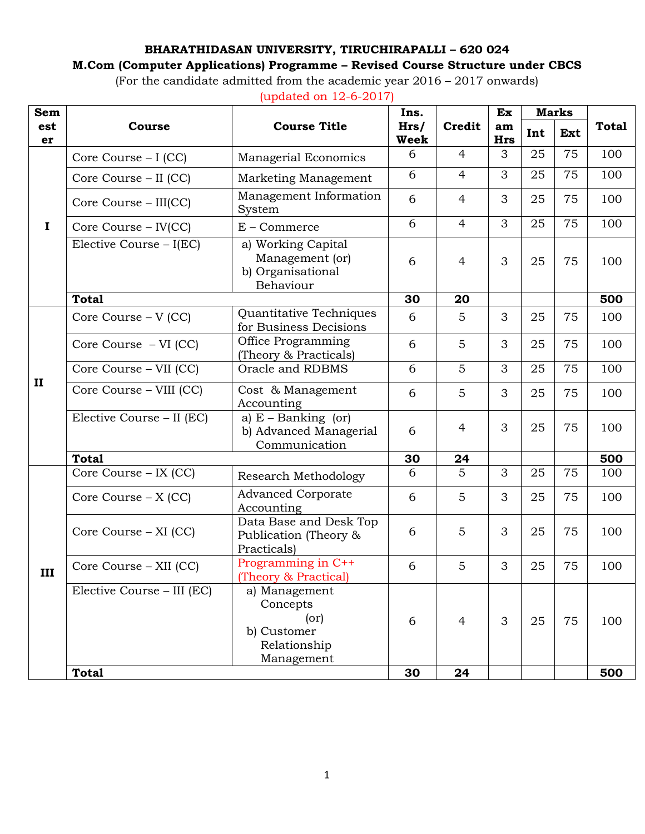## **BHARATHIDASAN UNIVERSITY, TIRUCHIRAPALLI – 620 024**

## **M.Com (Computer Applications) Programme – Revised Course Structure under CBCS**

(For the candidate admitted from the academic year 2016 – 2017 onwards)

| Sem          |                                             |                                                                         | Ins.                |                | Ex               |     | <b>Marks</b> |              |
|--------------|---------------------------------------------|-------------------------------------------------------------------------|---------------------|----------------|------------------|-----|--------------|--------------|
| est<br>er    | <b>Course</b>                               | <b>Course Title</b>                                                     | Hrs/<br><b>Week</b> | <b>Credit</b>  | am<br><b>Hrs</b> | Int | Ext          | <b>Total</b> |
|              | Core Course – I (CC)                        | <b>Managerial Economics</b>                                             | 6                   | 4              | 3                | 25  | 75           | 100          |
|              | Core Course – II (CC)                       | Marketing Management                                                    | 6                   | $\overline{4}$ | 3                | 25  | 75           | 100          |
|              | Core Course - III(CC)                       | Management Information<br>System                                        | 6                   | $\overline{4}$ | 3                | 25  | 75           | 100          |
| $\mathbf I$  | Core Course - IV(CC)                        | $E -$ Commerce                                                          | 6                   | $\overline{4}$ | 3                | 25  | 75           | 100          |
|              | Elective Course - I(EC)                     | a) Working Capital<br>Management (or)<br>b) Organisational<br>Behaviour | 6                   | $\overline{4}$ | 3                | 25  | 75           | 100          |
|              | <b>Total</b>                                |                                                                         | 30                  | 20             |                  |     |              | 500          |
| $\mathbf{I}$ | Core Course - V (CC)                        | Quantitative Techniques<br>for Business Decisions                       | 6                   | 5              | 3                | 25  | 75           | 100          |
|              | Core Course - VI (CC)                       | Office Programming<br>(Theory & Practicals)                             | 6                   | 5              | 3                | 25  | 75           | 100          |
|              | Core Course - VII (CC)                      | Oracle and RDBMS                                                        | 6                   | 5              | 3                | 25  | 75           | 100          |
|              | $\overline{\text{Core}}$ Course – VIII (CC) | Cost & Management<br>Accounting                                         | 6                   | 5              | 3                | 25  | 75           | 100          |
|              | Elective Course - II (EC)                   | a) $E -$ Banking (or)<br>b) Advanced Managerial<br>Communication        | 6                   | $\overline{4}$ | 3                | 25  | 75           | 100          |
|              | <b>Total</b>                                |                                                                         | 30                  | 24             |                  |     |              | 500          |
|              | Core Course - IX (CC)                       | <b>Research Methodology</b>                                             | 6                   | 5              | 3                | 25  | 75           | 100          |
| III          | Core Course – X (CC)                        | <b>Advanced Corporate</b><br>Accounting                                 | 6                   | 5              | 3                | 25  | 75           | 100          |
|              | Core Course - XI (CC)                       | Data Base and Desk Top<br>Publication (Theory &<br>Practicals)          | 6                   | 5              | 3                | 25  | 75           | 100          |
|              | Core Course - XII (CC)                      | Programming in C++<br>Theory & Practical)                               | 6                   | 5              | 3                | 25  | 75           | 100          |
|              | Elective Course - III (EC)                  | a) Management<br>Concepts<br>(or)<br>b) Customer<br>Relationship        | 6                   | $\overline{4}$ | 3                | 25  | 75           | 100          |
|              |                                             | Management                                                              |                     |                |                  |     |              |              |
|              | <b>Total</b>                                |                                                                         | 30                  | 24             |                  |     |              | 500          |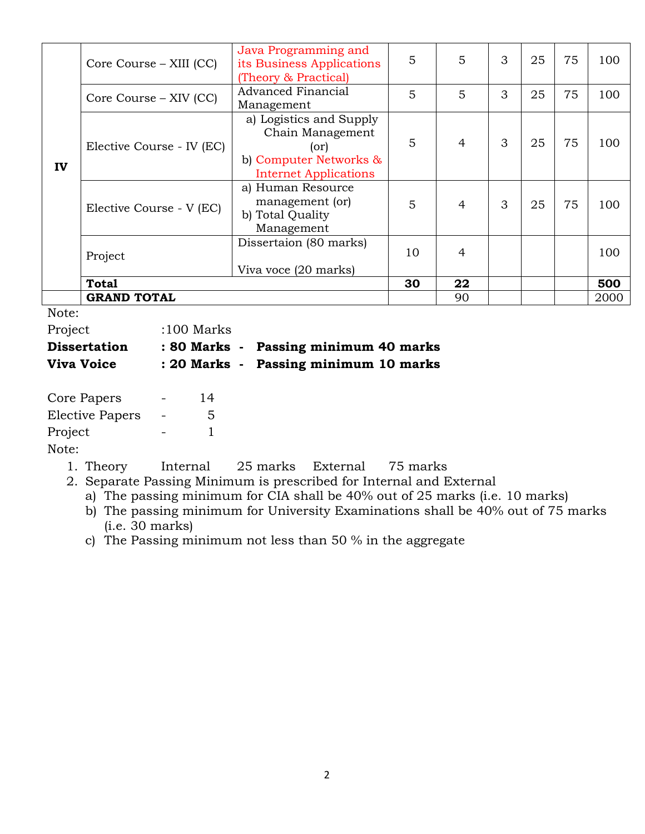|    |                                                     | Java Programming and         |    |                |   |    |     |      |
|----|-----------------------------------------------------|------------------------------|----|----------------|---|----|-----|------|
|    | Core Course – XIII (CC)                             | its Business Applications    | 5  | 5              | 3 | 25 | 75  | 100  |
|    |                                                     | (Theory & Practical)         |    |                |   |    |     |      |
|    |                                                     |                              |    |                |   |    |     |      |
| IV | Core Course – XIV (CC)<br>Elective Course - IV (EC) | <b>Advanced Financial</b>    | 5  | 5              | 3 | 25 | 75  | 100  |
|    |                                                     | Management                   |    |                |   |    |     |      |
|    |                                                     | a) Logistics and Supply      |    |                |   |    |     |      |
|    |                                                     | Chain Management             | 5  | $\overline{4}$ | 3 | 25 | 75  | 100  |
|    |                                                     | (or)                         |    |                |   |    |     |      |
|    |                                                     | b) Computer Networks &       |    |                |   |    |     |      |
|    |                                                     |                              |    |                |   |    |     |      |
|    |                                                     | <b>Internet Applications</b> |    |                |   |    |     |      |
|    | Elective Course - V (EC)                            | a) Human Resource            |    |                |   |    |     |      |
|    |                                                     | management (or)              | 5  | $\overline{4}$ | 3 | 25 | 75  | 100  |
|    |                                                     | b) Total Quality             |    |                |   |    |     |      |
|    |                                                     | Management                   |    |                |   |    |     |      |
|    | Project                                             | Dissertaion (80 marks)       | 10 |                |   |    |     |      |
|    |                                                     |                              |    | $\overline{4}$ |   |    | 100 |      |
|    |                                                     | Viva voce (20 marks)         |    |                |   |    |     |      |
|    | <b>Total</b>                                        |                              | 30 | 22             |   |    |     | 500  |
|    | <b>GRAND TOTAL</b>                                  |                              |    | 90             |   |    |     | 2000 |

Note:

| Project             | $:100$ Marks |                                       |
|---------------------|--------------|---------------------------------------|
| <b>Dissertation</b> |              | : 80 Marks - Passing minimum 40 marks |
| <b>Viva Voice</b>   |              | : 20 Marks - Passing minimum 10 marks |
|                     |              |                                       |

| Core Papers            | 14 |
|------------------------|----|
| <b>Elective Papers</b> | .5 |
| Project                |    |
| Note:                  |    |

1. Theory Internal 25 marks External 75 marks

2. Separate Passing Minimum is prescribed for Internal and External

a) The passing minimum for CIA shall be 40% out of 25 marks (i.e. 10 marks)

b) The passing minimum for University Examinations shall be 40% out of 75 marks (i.e. 30 marks)

c) The Passing minimum not less than 50 % in the aggregate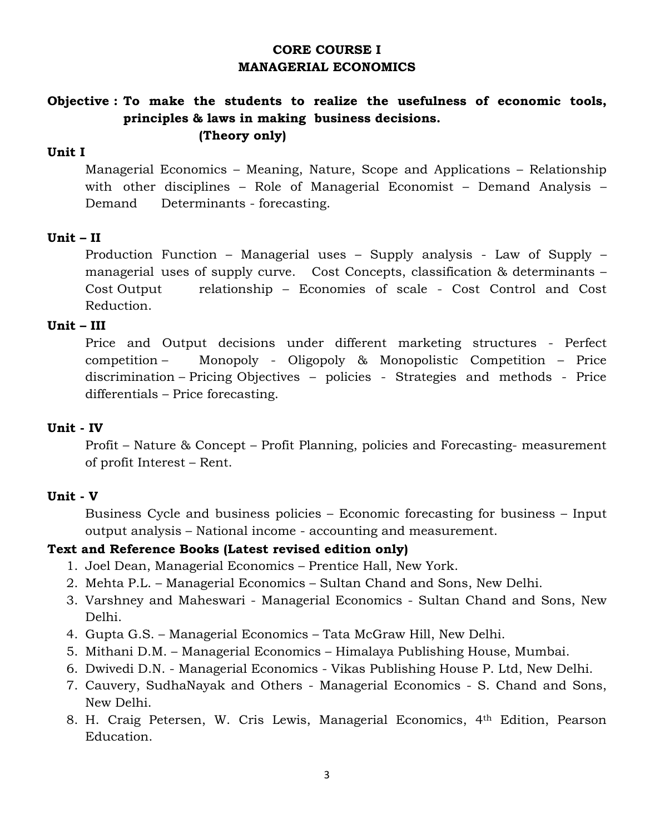## **CORE COURSE I MANAGERIAL ECONOMICS**

# **Objective : To make the students to realize the usefulness of economic tools, principles & laws in making business decisions. (Theory only)**

# **Unit I**

 Managerial Economics – Meaning, Nature, Scope and Applications – Relationship with other disciplines – Role of Managerial Economist – Demand Analysis – Demand Determinants - forecasting.

## **Unit – II**

 Production Function – Managerial uses – Supply analysis - Law of Supply – managerial uses of supply curve. Cost Concepts, classification & determinants – Cost Output relationship – Economies of scale - Cost Control and Cost Reduction.

### **Unit – III**

 Price and Output decisions under different marketing structures - Perfect competition – Monopoly - Oligopoly & Monopolistic Competition – Price discrimination – Pricing Objectives – policies - Strategies and methods - Price differentials – Price forecasting.

### **Unit - IV**

 Profit – Nature & Concept – Profit Planning, policies and Forecasting- measurement of profit Interest – Rent.

### **Unit - V**

 Business Cycle and business policies – Economic forecasting for business – Input output analysis – National income - accounting and measurement.

- 1. Joel Dean, Managerial Economics Prentice Hall, New York.
- 2. Mehta P.L. Managerial Economics Sultan Chand and Sons, New Delhi.
- 3. Varshney and Maheswari Managerial Economics Sultan Chand and Sons, New Delhi.
- 4. Gupta G.S. Managerial Economics Tata McGraw Hill, New Delhi.
- 5. Mithani D.M. Managerial Economics Himalaya Publishing House, Mumbai.
- 6. Dwivedi D.N. Managerial Economics Vikas Publishing House P. Ltd, New Delhi.
- 7. Cauvery, SudhaNayak and Others Managerial Economics S. Chand and Sons, New Delhi.
- 8. H. Craig Petersen, W. Cris Lewis, Managerial Economics, 4th Edition, Pearson Education.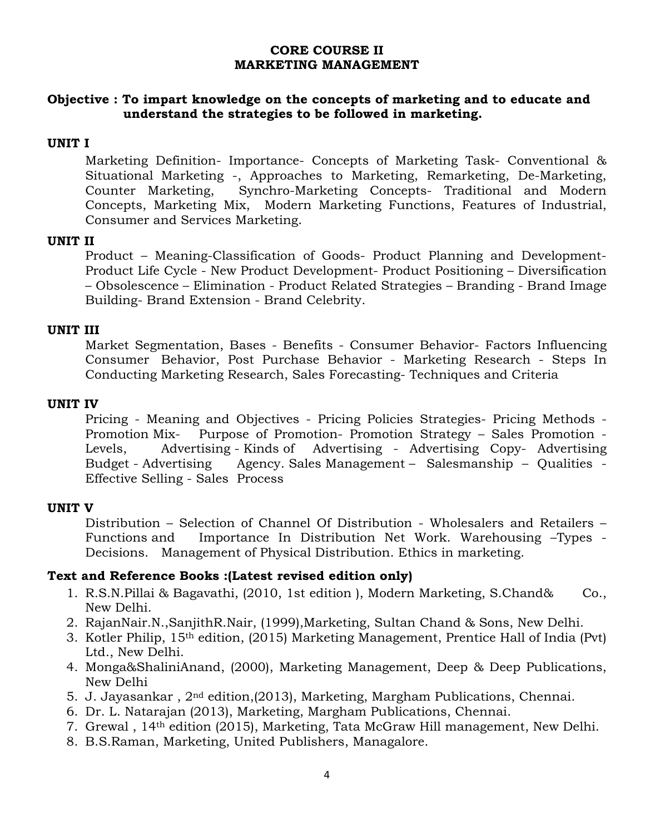### **CORE COURSE II MARKETING MANAGEMENT**

## **Objective : To impart knowledge on the concepts of marketing and to educate and understand the strategies to be followed in marketing.**

### **UNIT I**

 Marketing Definition- Importance- Concepts of Marketing Task- Conventional & Situational Marketing -, Approaches to Marketing, Remarketing, De-Marketing, Counter Marketing, Synchro-Marketing Concepts- Traditional and Modern Concepts, Marketing Mix, Modern Marketing Functions, Features of Industrial, Consumer and Services Marketing.

### **UNIT II**

 Product – Meaning-Classification of Goods- Product Planning and Development-Product Life Cycle - New Product Development- Product Positioning – Diversification – Obsolescence – Elimination - Product Related Strategies – Branding - Brand Image Building- Brand Extension - Brand Celebrity.

### **UNIT III**

 Market Segmentation, Bases - Benefits - Consumer Behavior- Factors Influencing Consumer Behavior, Post Purchase Behavior - Marketing Research - Steps In Conducting Marketing Research, Sales Forecasting- Techniques and Criteria

### **UNIT IV**

 Pricing - Meaning and Objectives - Pricing Policies Strategies- Pricing Methods - Promotion Mix- Purpose of Promotion- Promotion Strategy – Sales Promotion - Levels, Advertising - Kinds of Advertising - Advertising Copy-Advertising Budget - Advertising Agency. Sales Management – Salesmanship – Qualities -Effective Selling - Sales Process

### **UNIT V**

 Distribution – Selection of Channel Of Distribution - Wholesalers and Retailers – Functions and Importance In Distribution Net Work. Warehousing –Types - Decisions. Management of Physical Distribution. Ethics in marketing.

- 1. R.S.N.Pillai & Bagavathi, (2010, 1st edition ), Modern Marketing, S.Chand& Co., New Delhi.
- 2. RajanNair.N.,SanjithR.Nair, (1999),Marketing, Sultan Chand & Sons, New Delhi.
- 3. Kotler Philip, 15th edition, (2015) Marketing Management, Prentice Hall of India (Pvt) Ltd., New Delhi.
- 4. Monga&ShaliniAnand, (2000), Marketing Management, Deep & Deep Publications, New Delhi
- 5. J. Jayasankar,  $2<sup>nd</sup>$  edition, (2013), Marketing, Margham Publications, Chennai.
- 6. Dr. L. Natarajan (2013), Marketing, Margham Publications, Chennai.
- 7. Grewal , 14th edition (2015), Marketing, Tata McGraw Hill management, New Delhi.
- 8. B.S.Raman, Marketing, United Publishers, Managalore.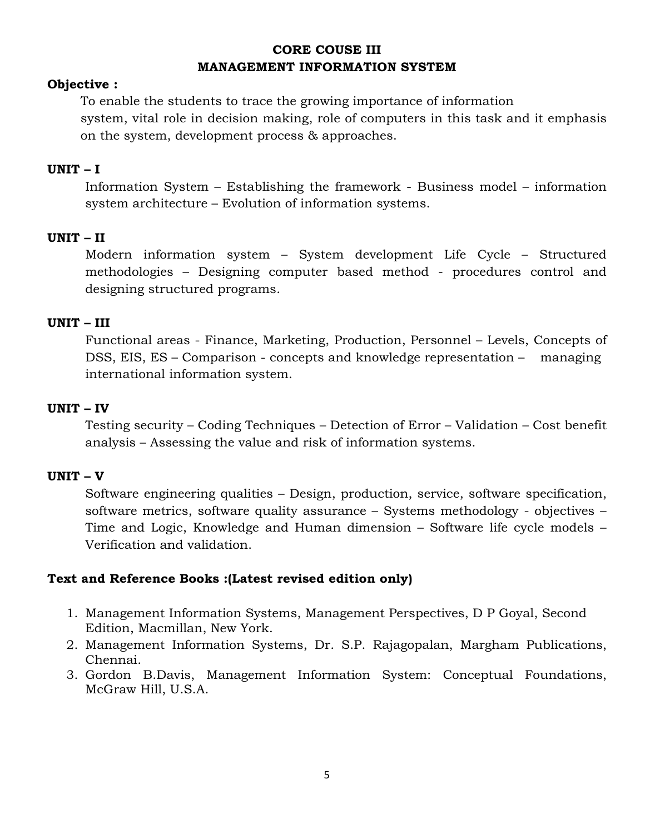# **CORE COUSE III MANAGEMENT INFORMATION SYSTEM**

## **Objective :**

To enable the students to trace the growing importance of information system, vital role in decision making, role of computers in this task and it emphasis on the system, development process & approaches.

### **UNIT – I**

 Information System – Establishing the framework - Business model – information system architecture – Evolution of information systems.

### **UNIT – II**

 Modern information system – System development Life Cycle – Structured methodologies – Designing computer based method - procedures control and designing structured programs.

## **UNIT – III**

Functional areas - Finance, Marketing, Production, Personnel – Levels, Concepts of DSS, EIS, ES – Comparison - concepts and knowledge representation – managing international information system.

### **UNIT – IV**

 Testing security – Coding Techniques – Detection of Error – Validation – Cost benefit analysis – Assessing the value and risk of information systems.

### **UNIT – V**

 Software engineering qualities – Design, production, service, software specification, software metrics, software quality assurance – Systems methodology - objectives – Time and Logic, Knowledge and Human dimension – Software life cycle models – Verification and validation.

- 1. Management Information Systems, Management Perspectives, D P Goyal, Second Edition, Macmillan, New York.
- 2. Management Information Systems, Dr. S.P. Rajagopalan, Margham Publications, Chennai.
- 3. Gordon B.Davis, Management Information System: Conceptual Foundations, McGraw Hill, U.S.A.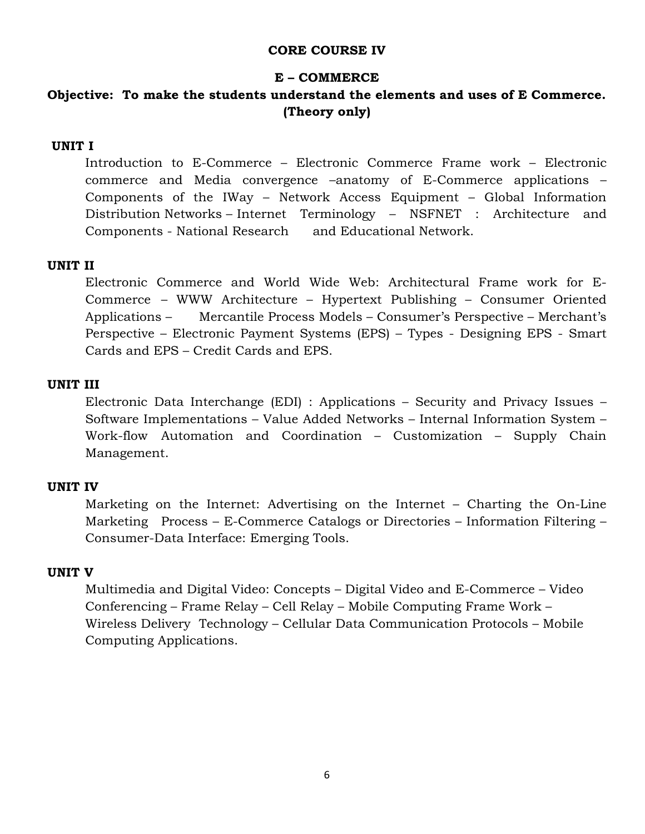## **CORE COURSE IV**

### **E – COMMERCE**

# **Objective: To make the students understand the elements and uses of E Commerce. (Theory only)**

### **UNIT I**

 Introduction to E-Commerce – Electronic Commerce Frame work – Electronic commerce and Media convergence –anatomy of E-Commerce applications – Components of the IWay – Network Access Equipment – Global Information Distribution Networks – Internet Terminology – NSFNET : Architecture and Components - National Research and Educational Network.

### **UNIT II**

 Electronic Commerce and World Wide Web: Architectural Frame work for E-Commerce – WWW Architecture – Hypertext Publishing – Consumer Oriented Applications – Mercantile Process Models – Consumer's Perspective – Merchant's Perspective – Electronic Payment Systems (EPS) – Types - Designing EPS - Smart Cards and EPS – Credit Cards and EPS.

#### **UNIT III**

 Electronic Data Interchange (EDI) : Applications – Security and Privacy Issues – Software Implementations – Value Added Networks – Internal Information System – Work-flow Automation and Coordination – Customization – Supply Chain Management.

### **UNIT IV**

 Marketing on the Internet: Advertising on the Internet – Charting the On-Line Marketing Process – E-Commerce Catalogs or Directories – Information Filtering – Consumer-Data Interface: Emerging Tools.

### **UNIT V**

 Multimedia and Digital Video: Concepts – Digital Video and E-Commerce – Video Conferencing – Frame Relay – Cell Relay – Mobile Computing Frame Work – Wireless Delivery Technology – Cellular Data Communication Protocols – Mobile Computing Applications.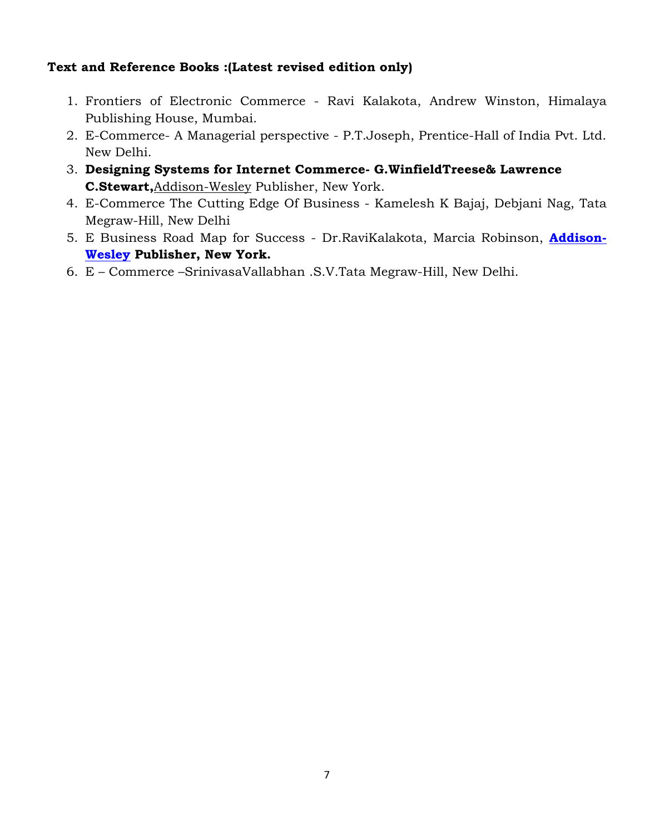- 1. Frontiers of Electronic Commerce Ravi Kalakota, Andrew Winston, Himalaya Publishing House, Mumbai.
- 2. E-Commerce- A Managerial perspective P.T.Joseph, Prentice-Hall of India Pvt. Ltd. New Delhi.
- 3. **Designing Systems for Internet Commerce- G.WinfieldTreese& Lawrence C.Stewart,**Addison-Wesley Publisher, New York.
- 4. E-Commerce The Cutting Edge Of Business Kamelesh K Bajaj, Debjani Nag, Tata Megraw-Hill, New Delhi
- 5. E Business Road Map for Success Dr.RaviKalakota, Marcia Robinson, **Addison-Wesley Publisher, New York.**
- 6. E Commerce –SrinivasaVallabhan .S.V.Tata Megraw-Hill, New Delhi.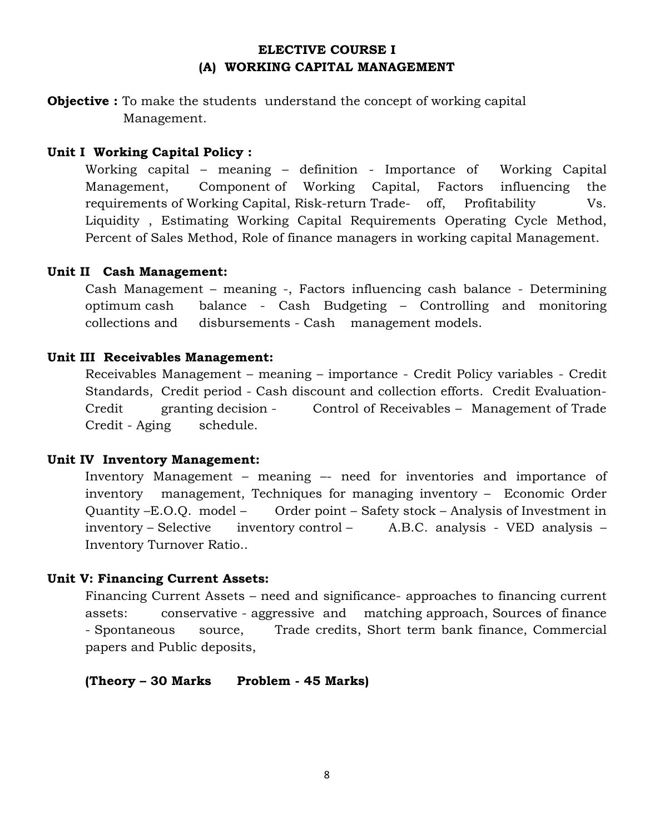## **ELECTIVE COURSE I (A) WORKING CAPITAL MANAGEMENT**

**Objective :** To make the students understand the concept of working capital Management.

### **Unit I Working Capital Policy :**

 Working capital – meaning – definition - Importance of Working Capital Management, Component of Working Capital, Factors influencing the requirements of Working Capital, Risk-return Trade- off, Profitability Vs. Liquidity , Estimating Working Capital Requirements Operating Cycle Method, Percent of Sales Method, Role of finance managers in working capital Management.

#### **Unit II Cash Management:**

 Cash Management – meaning -, Factors influencing cash balance - Determining optimum cash balance - Cash Budgeting – Controlling and monitoring collections and disbursements - Cash management models.

#### **Unit III Receivables Management:**

 Receivables Management – meaning – importance - Credit Policy variables - Credit Standards, Credit period - Cash discount and collection efforts. Credit Evaluation-Credit granting decision - Control of Receivables – Management of Trade Credit - Aging schedule.

#### **Unit IV Inventory Management:**

 Inventory Management – meaning –- need for inventories and importance of inventory management, Techniques for managing inventory – Economic Order Quantity –E.O.Q. model – Order point – Safety stock – Analysis of Investment in inventory – Selective inventory control – A.B.C. analysis - VED analysis – Inventory Turnover Ratio..

#### **Unit V: Financing Current Assets:**

 Financing Current Assets – need and significance- approaches to financing current assets: conservative - aggressive and matching approach, Sources of finance - Spontaneous source, Trade credits, Short term bank finance, Commercial papers and Public deposits,

 **(Theory – 30 Marks Problem - 45 Marks)**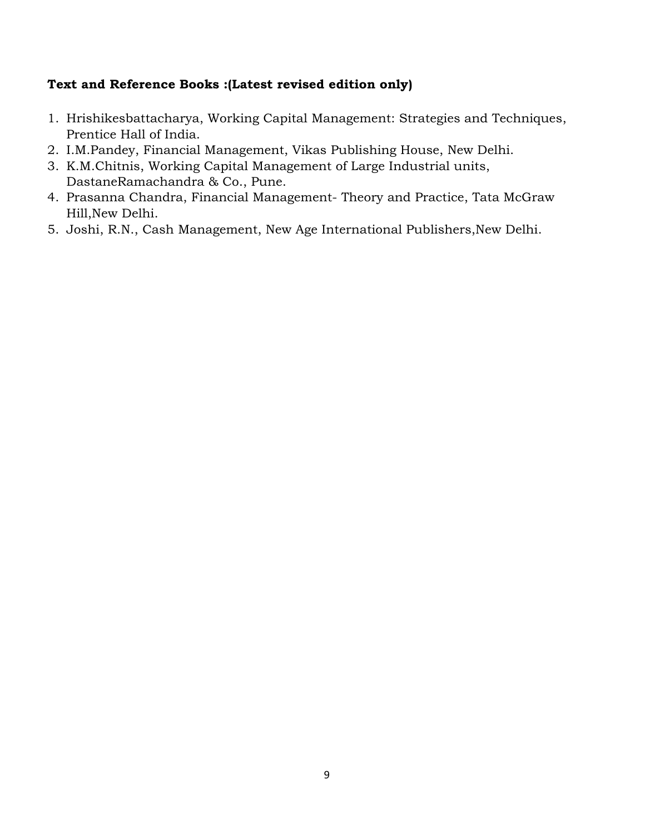- 1. Hrishikesbattacharya, Working Capital Management: Strategies and Techniques, Prentice Hall of India.
- 2. I.M.Pandey, Financial Management, Vikas Publishing House, New Delhi.
- 3. K.M.Chitnis, Working Capital Management of Large Industrial units, DastaneRamachandra & Co., Pune.
- 4. Prasanna Chandra, Financial Management- Theory and Practice, Tata McGraw Hill,New Delhi.
- 5. Joshi, R.N., Cash Management, New Age International Publishers,New Delhi.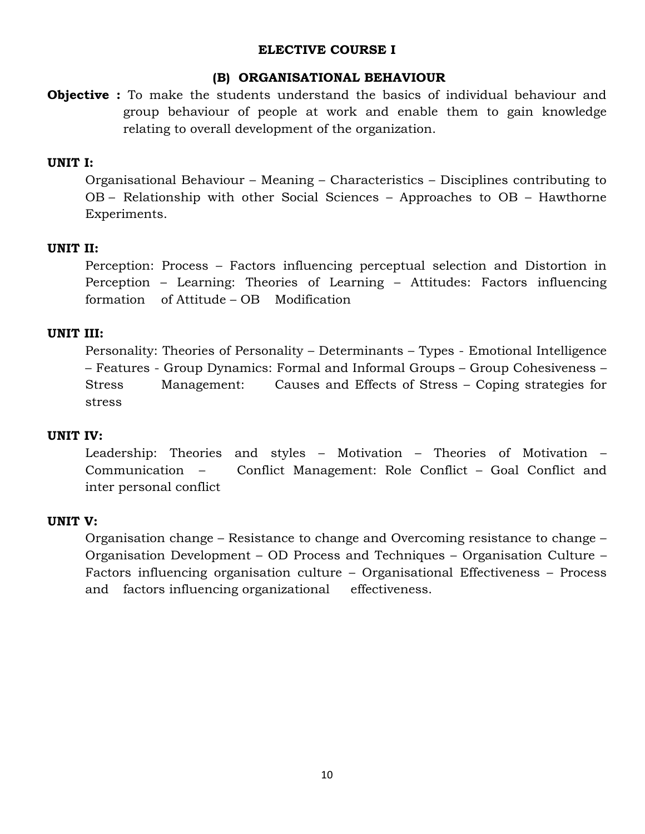### **ELECTIVE COURSE I**

### **(B) ORGANISATIONAL BEHAVIOUR**

**Objective :** To make the students understand the basics of individual behaviour and group behaviour of people at work and enable them to gain knowledge relating to overall development of the organization.

## **UNIT I:**

 Organisational Behaviour – Meaning – Characteristics – Disciplines contributing to OB – Relationship with other Social Sciences – Approaches to OB – Hawthorne Experiments.

### **UNIT II:**

 Perception: Process – Factors influencing perceptual selection and Distortion in Perception – Learning: Theories of Learning – Attitudes: Factors influencing formation of Attitude – OB Modification

### **UNIT III:**

 Personality: Theories of Personality – Determinants – Types - Emotional Intelligence – Features - Group Dynamics: Formal and Informal Groups – Group Cohesiveness – Stress Management: Causes and Effects of Stress – Coping strategies for stress

### **UNIT IV:**

 Leadership: Theories and styles – Motivation – Theories of Motivation – Communication – Conflict Management: Role Conflict – Goal Conflict and inter personal conflict

### **UNIT V:**

 Organisation change – Resistance to change and Overcoming resistance to change – Organisation Development – OD Process and Techniques – Organisation Culture – Factors influencing organisation culture – Organisational Effectiveness – Process and factors influencing organizational effectiveness.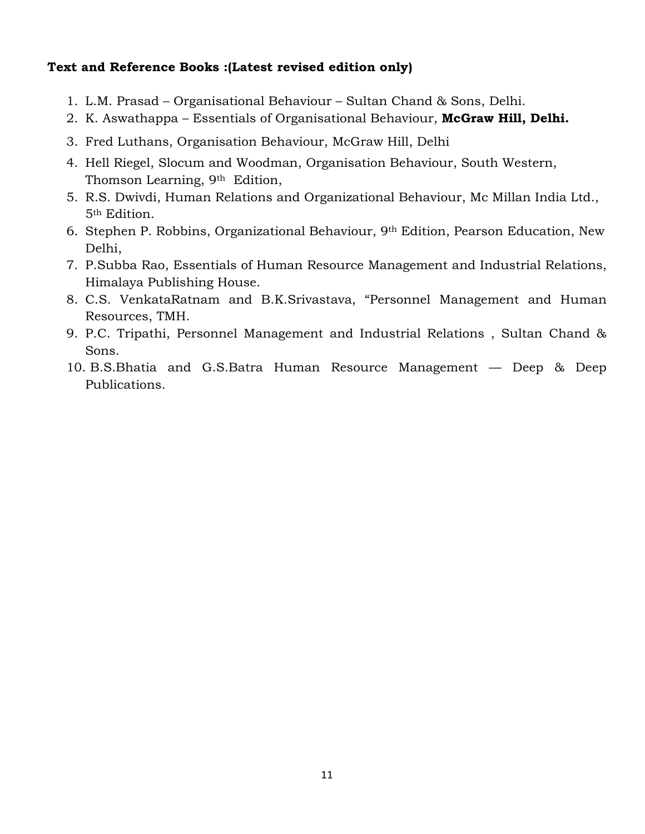- 1. L.M. Prasad Organisational Behaviour Sultan Chand & Sons, Delhi.
- 2. K. Aswathappa Essentials of Organisational Behaviour, **McGraw Hill, Delhi.**
- 3. Fred Luthans, Organisation Behaviour, McGraw Hill, Delhi
- 4. Hell Riegel, Slocum and Woodman, Organisation Behaviour, South Western, Thomson Learning, 9th Edition,
- 5. R.S. Dwivdi, Human Relations and Organizational Behaviour, Mc Millan India Ltd., 5th Edition.
- 6. Stephen P. Robbins, Organizational Behaviour, 9th Edition, Pearson Education, New Delhi,
- 7. P.Subba Rao, Essentials of Human Resource Management and Industrial Relations, Himalaya Publishing House.
- 8. C.S. VenkataRatnam and B.K.Srivastava, "Personnel Management and Human Resources, TMH.
- 9. P.C. Tripathi, Personnel Management and Industrial Relations , Sultan Chand & Sons.
- 10. B.S.Bhatia and G.S.Batra Human Resource Management –– Deep & Deep Publications.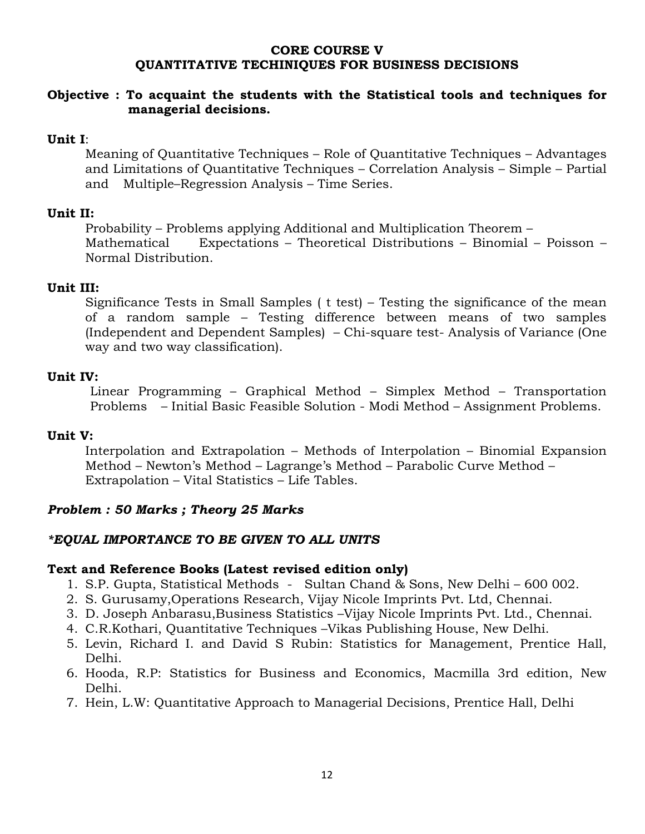### **CORE COURSE V QUANTITATIVE TECHINIQUES FOR BUSINESS DECISIONS**

## **Objective : To acquaint the students with the Statistical tools and techniques for managerial decisions.**

## **Unit I**:

 Meaning of Quantitative Techniques – Role of Quantitative Techniques – Advantages and Limitations of Quantitative Techniques – Correlation Analysis – Simple – Partial and Multiple–Regression Analysis – Time Series.

### **Unit II:**

 Probability – Problems applying Additional and Multiplication Theorem – Mathematical Expectations – Theoretical Distributions – Binomial – Poisson – Normal Distribution.

### **Unit III:**

Significance Tests in Small Samples ( t test) – Testing the significance of the mean of a random sample – Testing difference between means of two samples (Independent and Dependent Samples) – Chi-square test- Analysis of Variance (One way and two way classification).

### **Unit IV:**

 Linear Programming – Graphical Method – Simplex Method – Transportation Problems – Initial Basic Feasible Solution - Modi Method – Assignment Problems.

### **Unit V:**

 Interpolation and Extrapolation – Methods of Interpolation – Binomial Expansion Method – Newton's Method – Lagrange's Method – Parabolic Curve Method – Extrapolation – Vital Statistics – Life Tables.

## *Problem : 50 Marks ; Theory 25 Marks*

## *\*EQUAL IMPORTANCE TO BE GIVEN TO ALL UNITS*

- 1. S.P. Gupta, Statistical Methods Sultan Chand & Sons, New Delhi 600 002.
- 2. S. Gurusamy,Operations Research, Vijay Nicole Imprints Pvt. Ltd, Chennai.
- 3. D. Joseph Anbarasu,Business Statistics –Vijay Nicole Imprints Pvt. Ltd., Chennai.
- 4. C.R.Kothari, Quantitative Techniques –Vikas Publishing House, New Delhi.
- 5. Levin, Richard I. and David S Rubin: Statistics for Management, Prentice Hall, Delhi.
- 6. Hooda, R.P: Statistics for Business and Economics, Macmilla 3rd edition, New Delhi.
- 7. Hein, L.W: Quantitative Approach to Managerial Decisions, Prentice Hall, Delhi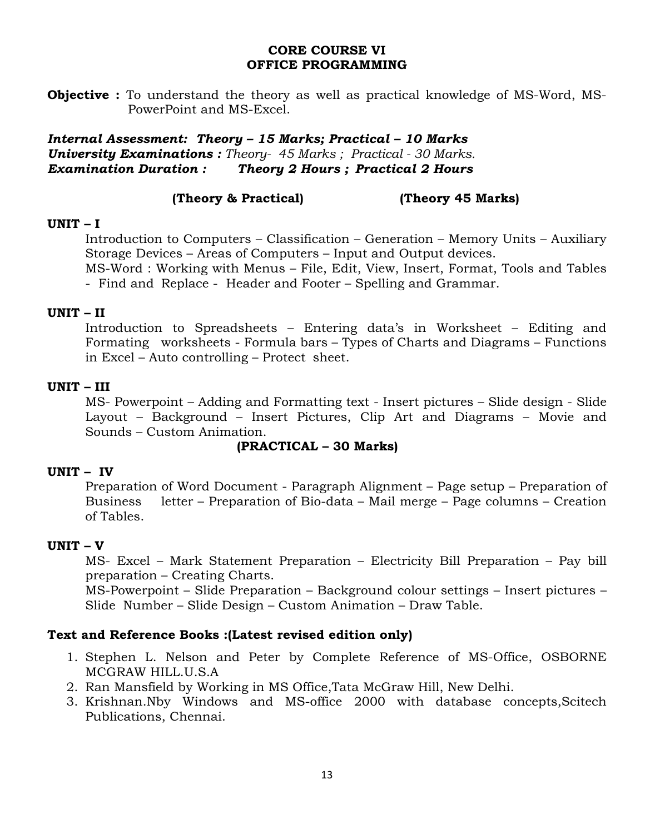### **CORE COURSE VI OFFICE PROGRAMMING**

**Objective :** To understand the theory as well as practical knowledge of MS-Word, MS-PowerPoint and MS-Excel.

*Internal Assessment: Theory – 15 Marks; Practical – 10 Marks University Examinations : Theory- 45 Marks ; Practical - 30 Marks. Examination Duration : Theory 2 Hours ; Practical 2 Hours*

## **(Theory & Practical) (Theory 45 Marks)**

## **UNIT – I**

Introduction to Computers – Classification – Generation – Memory Units – Auxiliary Storage Devices – Areas of Computers – Input and Output devices.

MS-Word : Working with Menus – File, Edit, View, Insert, Format, Tools and Tables - Find and Replace - Header and Footer – Spelling and Grammar.

## **UNIT – II**

Introduction to Spreadsheets – Entering data's in Worksheet – Editing and Formating worksheets - Formula bars – Types of Charts and Diagrams – Functions in Excel – Auto controlling – Protect sheet.

## **UNIT – III**

MS- Powerpoint – Adding and Formatting text - Insert pictures – Slide design - Slide Layout – Background – Insert Pictures, Clip Art and Diagrams – Movie and Sounds – Custom Animation.

## **(PRACTICAL – 30 Marks)**

# **UNIT – IV**

Preparation of Word Document - Paragraph Alignment – Page setup – Preparation of Business letter – Preparation of Bio-data – Mail merge – Page columns – Creation of Tables.

## **UNIT – V**

MS- Excel – Mark Statement Preparation – Electricity Bill Preparation – Pay bill preparation – Creating Charts.

MS-Powerpoint – Slide Preparation – Background colour settings – Insert pictures – Slide Number – Slide Design – Custom Animation – Draw Table.

- 1. Stephen L. Nelson and Peter by Complete Reference of MS-Office, OSBORNE MCGRAW HILL.U.S.A
- 2. Ran Mansfield by Working in MS Office,Tata McGraw Hill, New Delhi.
- 3. Krishnan.Nby Windows and MS-office 2000 with database concepts,Scitech Publications, Chennai.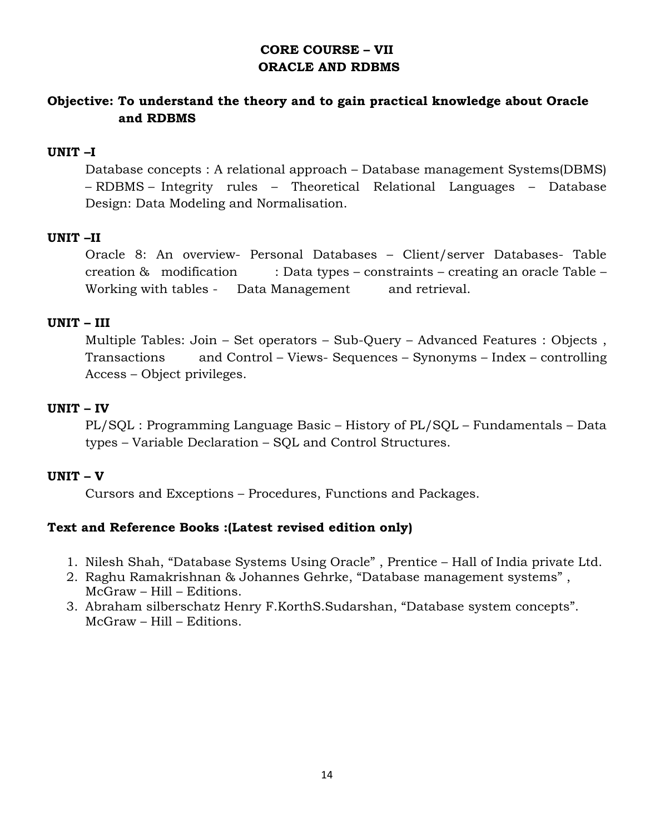# **CORE COURSE – VII ORACLE AND RDBMS**

# **Objective: To understand the theory and to gain practical knowledge about Oracle and RDBMS**

## **UNIT –I**

 Database concepts : A relational approach – Database management Systems(DBMS) – RDBMS – Integrity rules – Theoretical Relational Languages – Database Design: Data Modeling and Normalisation.

# **UNIT –II**

 Oracle 8: An overview- Personal Databases – Client/server Databases- Table creation & modification : Data types – constraints – creating an oracle Table – Working with tables - Data Management and retrieval.

## **UNIT – III**

 Multiple Tables: Join – Set operators – Sub-Query – Advanced Features : Objects , Transactions and Control – Views- Sequences – Synonyms – Index – controlling Access – Object privileges.

## **UNIT – IV**

 PL/SQL : Programming Language Basic – History of PL/SQL – Fundamentals – Data types – Variable Declaration – SQL and Control Structures.

## **UNIT – V**

Cursors and Exceptions – Procedures, Functions and Packages.

- 1. Nilesh Shah, "Database Systems Using Oracle" , Prentice Hall of India private Ltd.
- 2. Raghu Ramakrishnan & Johannes Gehrke, "Database management systems" , McGraw – Hill – Editions.
- 3. Abraham silberschatz Henry F.KorthS.Sudarshan, "Database system concepts". McGraw – Hill – Editions.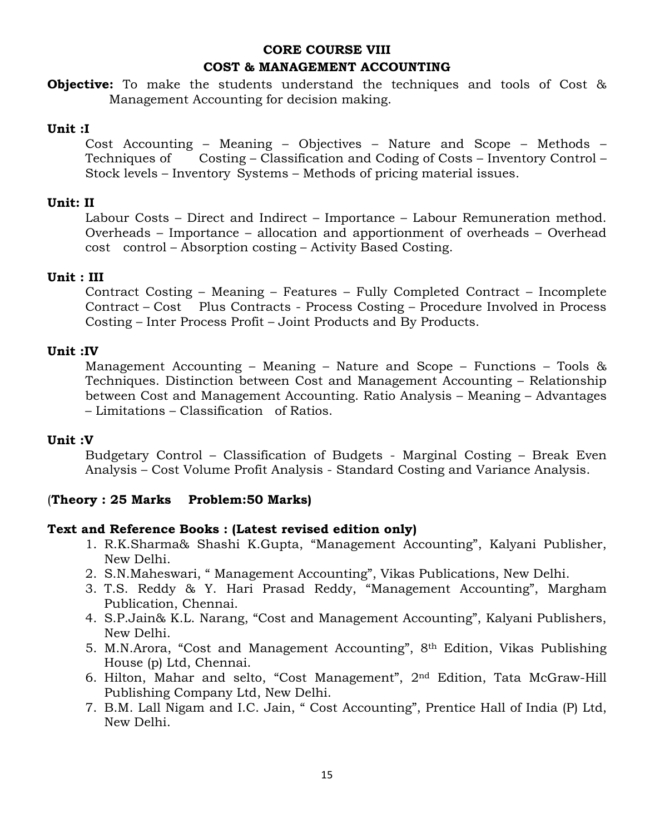# **CORE COURSE VIII COST & MANAGEMENT ACCOUNTING**

**Objective:** To make the students understand the techniques and tools of Cost & Management Accounting for decision making.

### **Unit :I**

Cost Accounting – Meaning – Objectives – Nature and Scope – Methods – Techniques of Costing – Classification and Coding of Costs – Inventory Control – Stock levels – Inventory Systems – Methods of pricing material issues.

### **Unit: II**

Labour Costs – Direct and Indirect – Importance – Labour Remuneration method. Overheads – Importance – allocation and apportionment of overheads – Overhead cost control – Absorption costing – Activity Based Costing.

### **Unit : III**

Contract Costing – Meaning – Features – Fully Completed Contract – Incomplete Contract – Cost Plus Contracts - Process Costing – Procedure Involved in Process Costing – Inter Process Profit – Joint Products and By Products.

### **Unit :IV**

Management Accounting – Meaning – Nature and Scope – Functions – Tools & Techniques. Distinction between Cost and Management Accounting – Relationship between Cost and Management Accounting. Ratio Analysis – Meaning – Advantages – Limitations – Classification of Ratios.

### **Unit :V**

Budgetary Control – Classification of Budgets - Marginal Costing – Break Even Analysis – Cost Volume Profit Analysis - Standard Costing and Variance Analysis.

## (**Theory : 25 Marks Problem:50 Marks)**

- 1. R.K.Sharma& Shashi K.Gupta, "Management Accounting", Kalyani Publisher, New Delhi.
- 2. S.N.Maheswari, " Management Accounting", Vikas Publications, New Delhi.
- 3. T.S. Reddy & Y. Hari Prasad Reddy, "Management Accounting", Margham Publication, Chennai.
- 4. S.P.Jain& K.L. Narang, "Cost and Management Accounting", Kalyani Publishers, New Delhi.
- 5. M.N.Arora, "Cost and Management Accounting", 8th Edition, Vikas Publishing House (p) Ltd, Chennai.
- 6. Hilton, Mahar and selto, "Cost Management", 2nd Edition, Tata McGraw-Hill Publishing Company Ltd, New Delhi.
- 7. B.M. Lall Nigam and I.C. Jain, " Cost Accounting", Prentice Hall of India (P) Ltd, New Delhi.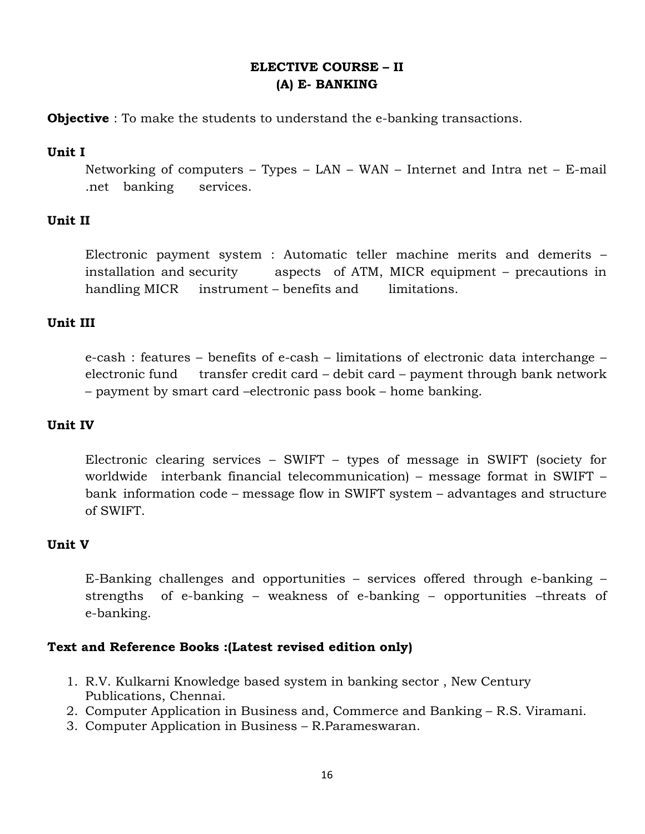# **ELECTIVE COURSE – II (A) E- BANKING**

**Objective** : To make the students to understand the e-banking transactions.

## **Unit I**

 Networking of computers – Types – LAN – WAN – Internet and Intra net – E-mail .net banking services.

# **Unit II**

 Electronic payment system : Automatic teller machine merits and demerits – installation and security aspects of ATM, MICR equipment – precautions in handling MICR instrument – benefits and limitations.

# **Unit III**

 e-cash : features – benefits of e-cash – limitations of electronic data interchange – electronic fund transfer credit card – debit card – payment through bank network – payment by smart card –electronic pass book – home banking.

## **Unit IV**

 Electronic clearing services – SWIFT – types of message in SWIFT (society for worldwide interbank financial telecommunication) – message format in SWIFT – bank information code – message flow in SWIFT system – advantages and structure of SWIFT.

# **Unit V**

 E-Banking challenges and opportunities – services offered through e-banking – strengths of e-banking – weakness of e-banking – opportunities –threats of e-banking.

- 1. R.V. Kulkarni Knowledge based system in banking sector , New Century Publications, Chennai.
- 2. Computer Application in Business and, Commerce and Banking R.S. Viramani.
- 3. Computer Application in Business R.Parameswaran.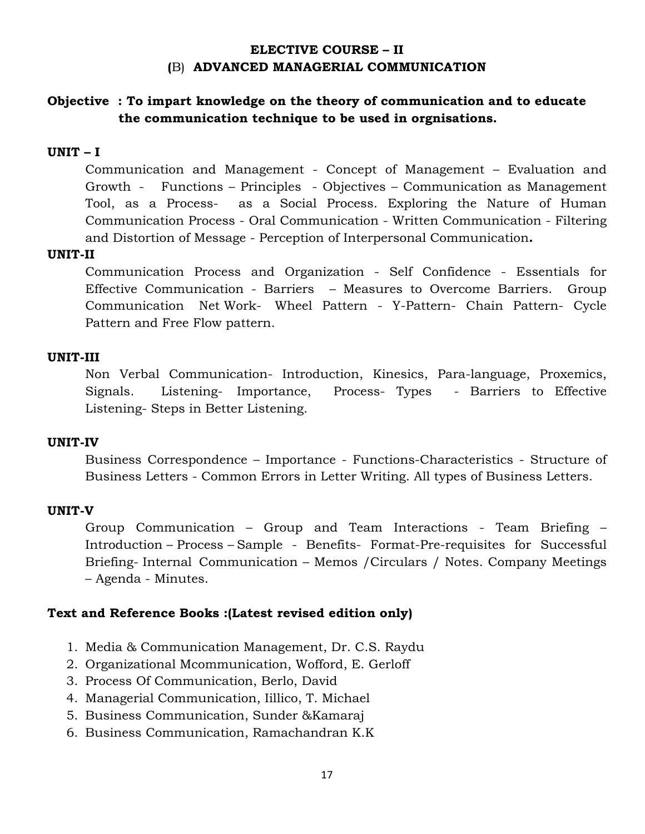## **ELECTIVE COURSE – II (**B) **ADVANCED MANAGERIAL COMMUNICATION**

# **Objective : To impart knowledge on the theory of communication and to educate the communication technique to be used in orgnisations.**

## **UNIT – I**

 Communication and Management - Concept of Management – Evaluation and Growth - Functions – Principles - Objectives – Communication as Management Tool, as a Process- as a Social Process. Exploring the Nature of Human Communication Process - Oral Communication - Written Communication - Filtering and Distortion of Message - Perception of Interpersonal Communication**.** 

### **UNIT-II**

 Communication Process and Organization - Self Confidence - Essentials for Effective Communication - Barriers – Measures to Overcome Barriers. Group Communication Net Work- Wheel Pattern - Y-Pattern- Chain Pattern- Cycle Pattern and Free Flow pattern.

### **UNIT-III**

 Non Verbal Communication- Introduction, Kinesics, Para-language, Proxemics, Signals. Listening- Importance, Process- Types - Barriers to Effective Listening- Steps in Better Listening.

### **UNIT-IV**

 Business Correspondence – Importance - Functions-Characteristics - Structure of Business Letters - Common Errors in Letter Writing. All types of Business Letters.

### **UNIT-V**

 Group Communication – Group and Team Interactions - Team Briefing – Introduction – Process – Sample - Benefits- Format-Pre-requisites for Successful Briefing- Internal Communication – Memos /Circulars / Notes. Company Meetings – Agenda - Minutes.

- 1. Media & Communication Management, Dr. C.S. Raydu
- 2. Organizational Mcommunication, Wofford, E. Gerloff
- 3. Process Of Communication, Berlo, David
- 4. Managerial Communication, Iillico, T. Michael
- 5. Business Communication, Sunder &Kamaraj
- 6. Business Communication, Ramachandran K.K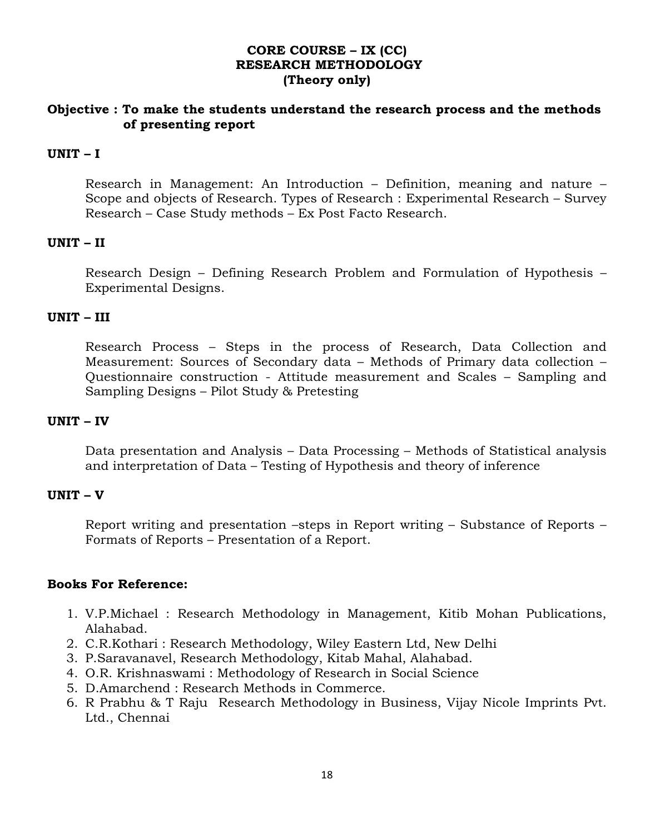## **CORE COURSE – IX (CC) RESEARCH METHODOLOGY (Theory only)**

## **Objective : To make the students understand the research process and the methods of presenting report**

### **UNIT – I**

 Research in Management: An Introduction – Definition, meaning and nature – Scope and objects of Research. Types of Research : Experimental Research – Survey Research – Case Study methods – Ex Post Facto Research.

### **UNIT – II**

 Research Design – Defining Research Problem and Formulation of Hypothesis – Experimental Designs.

#### **UNIT – III**

 Research Process – Steps in the process of Research, Data Collection and Measurement: Sources of Secondary data – Methods of Primary data collection – Questionnaire construction - Attitude measurement and Scales – Sampling and Sampling Designs – Pilot Study & Pretesting

#### **UNIT – IV**

 Data presentation and Analysis – Data Processing – Methods of Statistical analysis and interpretation of Data – Testing of Hypothesis and theory of inference

### **UNIT – V**

 Report writing and presentation –steps in Report writing – Substance of Reports – Formats of Reports – Presentation of a Report.

### **Books For Reference:**

- 1. V.P.Michael : Research Methodology in Management, Kitib Mohan Publications, Alahabad.
- 2. C.R.Kothari : Research Methodology, Wiley Eastern Ltd, New Delhi
- 3. P.Saravanavel, Research Methodology, Kitab Mahal, Alahabad.
- 4. O.R. Krishnaswami : Methodology of Research in Social Science
- 5. D.Amarchend : Research Methods in Commerce.
- 6. R Prabhu & T Raju Research Methodology in Business, Vijay Nicole Imprints Pvt. Ltd., Chennai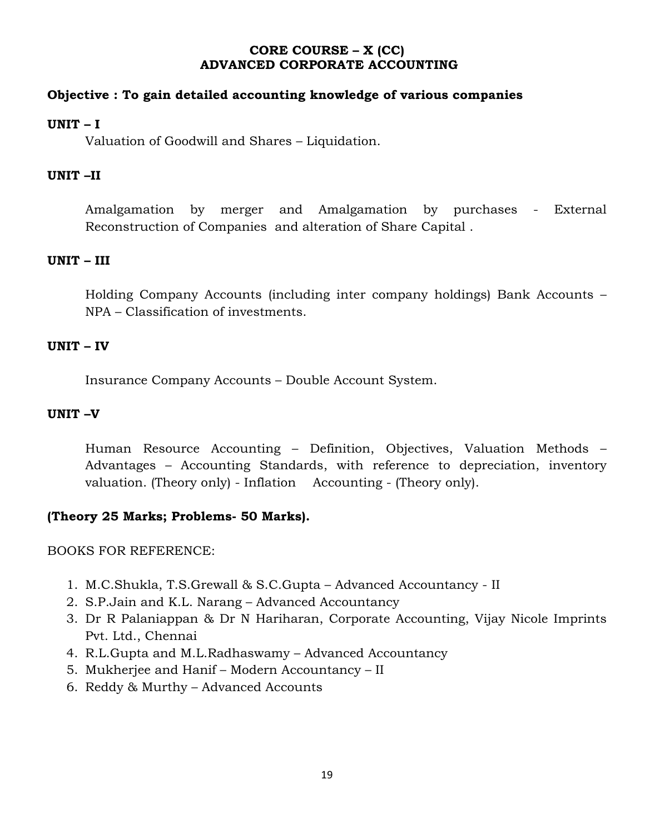## **CORE COURSE – X (CC) ADVANCED CORPORATE ACCOUNTING**

## **Objective : To gain detailed accounting knowledge of various companies**

## **UNIT – I**

Valuation of Goodwill and Shares – Liquidation.

## **UNIT –II**

 Amalgamation by merger and Amalgamation by purchases - External Reconstruction of Companies and alteration of Share Capital .

## **UNIT – III**

 Holding Company Accounts (including inter company holdings) Bank Accounts – NPA – Classification of investments.

## **UNIT – IV**

Insurance Company Accounts – Double Account System.

## **UNIT –V**

 Human Resource Accounting – Definition, Objectives, Valuation Methods – Advantages – Accounting Standards, with reference to depreciation, inventory valuation. (Theory only) - Inflation Accounting - (Theory only).

# **(Theory 25 Marks; Problems- 50 Marks).**

BOOKS FOR REFERENCE:

- 1. M.C.Shukla, T.S.Grewall & S.C.Gupta Advanced Accountancy II
- 2. S.P.Jain and K.L. Narang Advanced Accountancy
- 3. Dr R Palaniappan & Dr N Hariharan, Corporate Accounting, Vijay Nicole Imprints Pvt. Ltd., Chennai
- 4. R.L.Gupta and M.L.Radhaswamy Advanced Accountancy
- 5. Mukherjee and Hanif Modern Accountancy II
- 6. Reddy & Murthy Advanced Accounts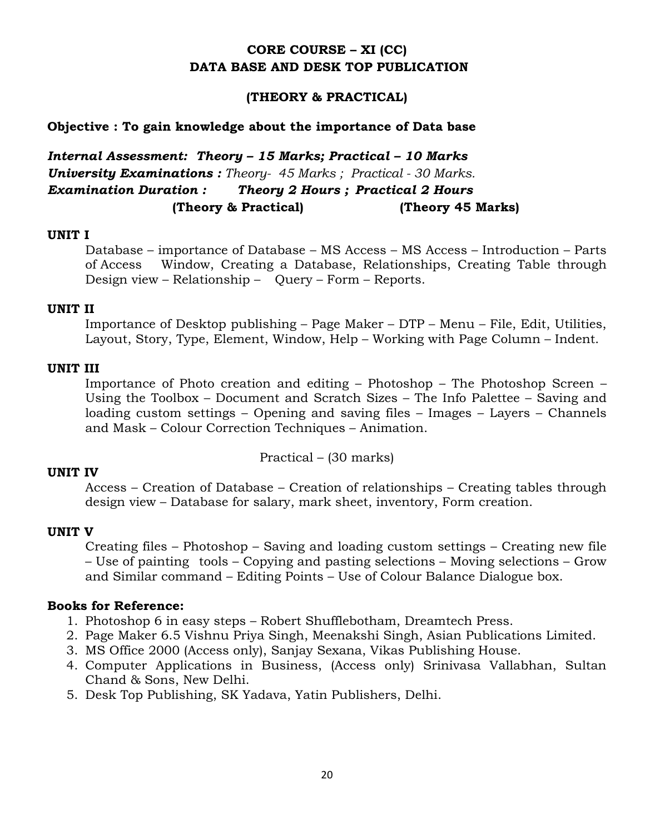# **CORE COURSE – XI (CC) DATA BASE AND DESK TOP PUBLICATION**

### **(THEORY & PRACTICAL)**

#### **Objective : To gain knowledge about the importance of Data base**

*Internal Assessment: Theory – 15 Marks; Practical – 10 Marks University Examinations : Theory- 45 Marks ; Practical - 30 Marks. Examination Duration : Theory 2 Hours ; Practical 2 Hours* **(Theory & Practical) (Theory 45 Marks)**

#### **UNIT I**

 Database – importance of Database – MS Access – MS Access – Introduction – Parts of Access Window, Creating a Database, Relationships, Creating Table through Design view – Relationship – Query – Form – Reports.

#### **UNIT II**

 Importance of Desktop publishing – Page Maker – DTP – Menu – File, Edit, Utilities, Layout, Story, Type, Element, Window, Help – Working with Page Column – Indent.

### **UNIT III**

 Importance of Photo creation and editing – Photoshop – The Photoshop Screen – Using the Toolbox – Document and Scratch Sizes – The Info Palettee – Saving and loading custom settings – Opening and saving files – Images – Layers – Channels and Mask – Colour Correction Techniques – Animation.

Practical – (30 marks)

### **UNIT IV**

 Access – Creation of Database – Creation of relationships – Creating tables through design view – Database for salary, mark sheet, inventory, Form creation.

#### **UNIT V**

 Creating files – Photoshop – Saving and loading custom settings – Creating new file – Use of painting tools – Copying and pasting selections – Moving selections – Grow and Similar command – Editing Points – Use of Colour Balance Dialogue box.

### **Books for Reference:**

- 1. Photoshop 6 in easy steps Robert Shufflebotham, Dreamtech Press.
- 2. Page Maker 6.5 Vishnu Priya Singh, Meenakshi Singh, Asian Publications Limited.
- 3. MS Office 2000 (Access only), Sanjay Sexana, Vikas Publishing House.
- 4. Computer Applications in Business, (Access only) Srinivasa Vallabhan, Sultan Chand & Sons, New Delhi.
- 5. Desk Top Publishing, SK Yadava, Yatin Publishers, Delhi.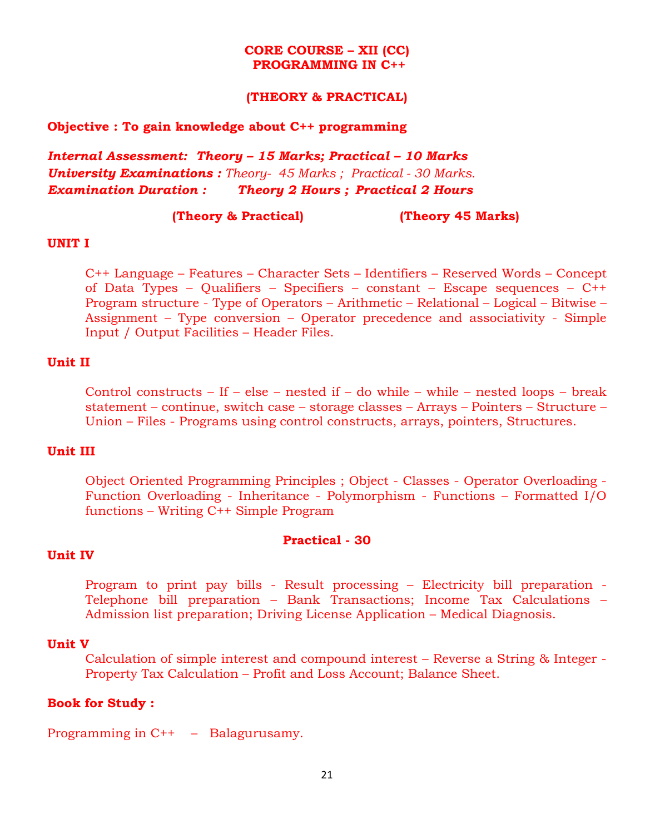#### **CORE COURSE – XII (CC) PROGRAMMING IN C++**

#### **(THEORY & PRACTICAL)**

#### **Objective : To gain knowledge about C++ programming**

*Internal Assessment: Theory – 15 Marks; Practical – 10 Marks University Examinations : Theory- 45 Marks ; Practical - 30 Marks. Examination Duration : Theory 2 Hours ; Practical 2 Hours*

#### **(Theory & Practical) (Theory 45 Marks)**

#### **UNIT I**

 C++ Language – Features – Character Sets – Identifiers – Reserved Words – Concept of Data Types – Qualifiers – Specifiers – constant – Escape sequences – C++ Program structure - Type of Operators – Arithmetic – Relational – Logical – Bitwise – Assignment – Type conversion – Operator precedence and associativity - Simple Input / Output Facilities – Header Files.

#### **Unit II**

Control constructs – If – else – nested if – do while – while – nested loops – break statement – continue, switch case – storage classes – Arrays – Pointers – Structure – Union – Files - Programs using control constructs, arrays, pointers, Structures.

### **Unit III**

Object Oriented Programming Principles ; Object - Classes - Operator Overloading - Function Overloading - Inheritance - Polymorphism - Functions – Formatted I/O functions – Writing C++ Simple Program

#### **Practical - 30**

#### **Unit IV**

 Program to print pay bills - Result processing – Electricity bill preparation - Telephone bill preparation – Bank Transactions; Income Tax Calculations – Admission list preparation; Driving License Application – Medical Diagnosis.

#### **Unit V**

 Calculation of simple interest and compound interest – Reverse a String & Integer - Property Tax Calculation – Profit and Loss Account; Balance Sheet.

#### **Book for Study :**

Programming in C++ – Balagurusamy.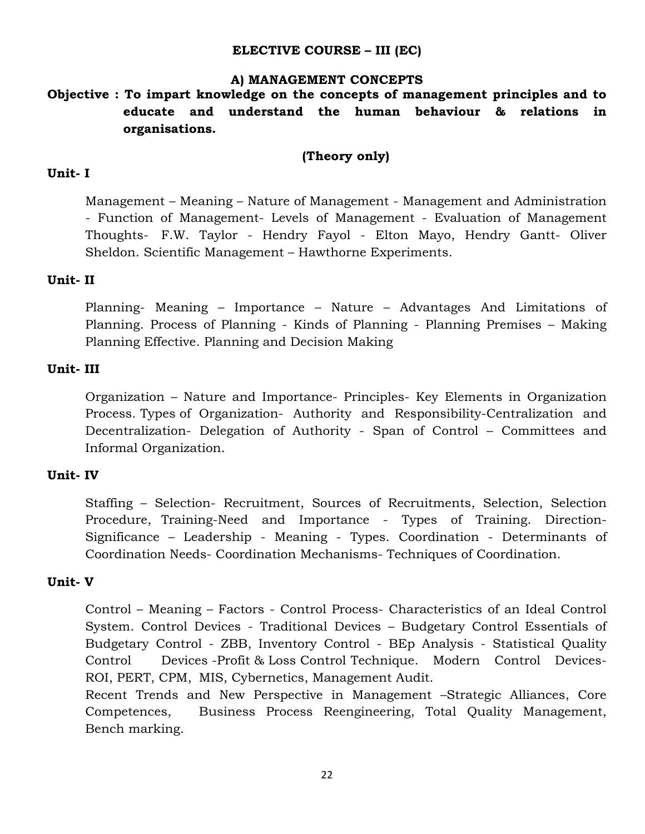### **ELECTIVE COURSE – III (EC)**

### **A) MANAGEMENT CONCEPTS**

# **Objective : To impart knowledge on the concepts of management principles and to educate and understand the human behaviour & relations in organisations.**

### **(Theory only)**

### **Unit- I**

 Management – Meaning – Nature of Management - Management and Administration - Function of Management- Levels of Management - Evaluation of Management Thoughts- F.W. Taylor - Hendry Fayol - Elton Mayo, Hendry Gantt- Oliver Sheldon. Scientific Management – Hawthorne Experiments.

### **Unit- II**

 Planning- Meaning – Importance – Nature – Advantages And Limitations of Planning. Process of Planning - Kinds of Planning - Planning Premises – Making Planning Effective. Planning and Decision Making

### **Unit- III**

 Organization – Nature and Importance- Principles- Key Elements in Organization Process. Types of Organization- Authority and Responsibility-Centralization and Decentralization- Delegation of Authority - Span of Control – Committees and Informal Organization.

### **Unit- IV**

 Staffing – Selection- Recruitment, Sources of Recruitments, Selection, Selection Procedure, Training-Need and Importance - Types of Training. Direction-Significance – Leadership - Meaning - Types. Coordination - Determinants of Coordination Needs- Coordination Mechanisms- Techniques of Coordination.

### **Unit- V**

 Control – Meaning – Factors - Control Process- Characteristics of an Ideal Control System. Control Devices - Traditional Devices – Budgetary Control Essentials of Budgetary Control - ZBB, Inventory Control - BEp Analysis - Statistical Quality Control Devices -Profit & Loss Control Technique. Modern Control Devices-ROI, PERT, CPM, MIS, Cybernetics, Management Audit.

 Recent Trends and New Perspective in Management –Strategic Alliances, Core Competences, Business Process Reengineering, Total Quality Management, Bench marking.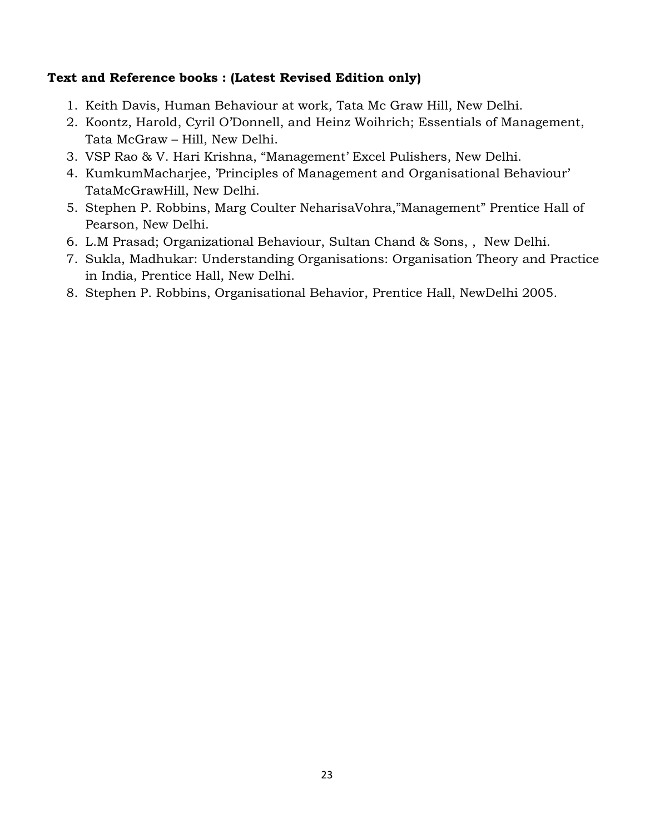- 1. Keith Davis, Human Behaviour at work, Tata Mc Graw Hill, New Delhi.
- 2. Koontz, Harold, Cyril O'Donnell, and Heinz Woihrich; Essentials of Management, Tata McGraw – Hill, New Delhi.
- 3. VSP Rao & V. Hari Krishna, "Management' Excel Pulishers, New Delhi.
- 4. KumkumMacharjee, 'Principles of Management and Organisational Behaviour' TataMcGrawHill, New Delhi.
- 5. Stephen P. Robbins, Marg Coulter NeharisaVohra,"Management" Prentice Hall of Pearson, New Delhi.
- 6. L.M Prasad; Organizational Behaviour, Sultan Chand & Sons, , New Delhi.
- 7. Sukla, Madhukar: Understanding Organisations: Organisation Theory and Practice in India, Prentice Hall, New Delhi.
- 8. Stephen P. Robbins, Organisational Behavior, Prentice Hall, NewDelhi 2005.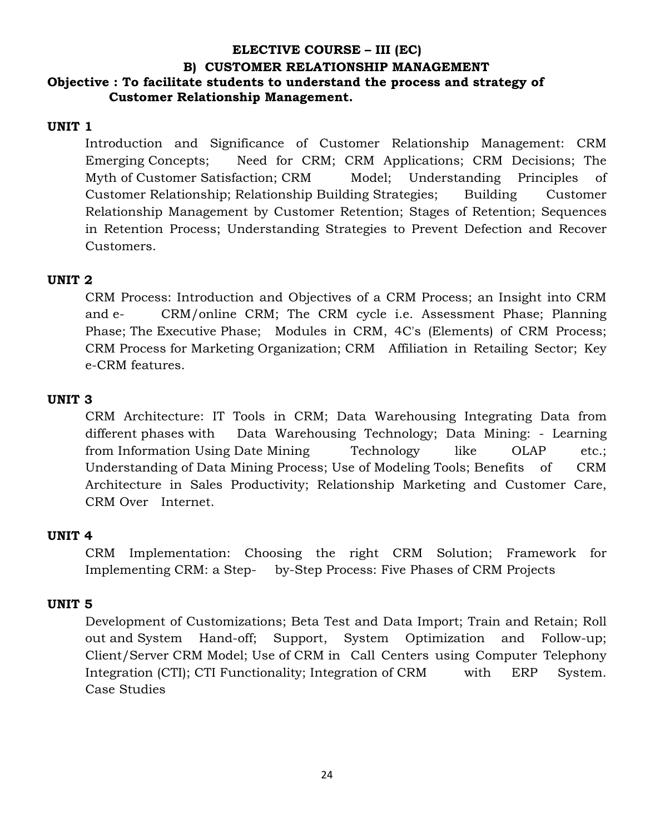# **ELECTIVE COURSE – III (EC) B) CUSTOMER RELATIONSHIP MANAGEMENT Objective : To facilitate students to understand the process and strategy of Customer Relationship Management.**

### **UNIT 1**

 Introduction and Significance of Customer Relationship Management: CRM Emerging Concepts; Need for CRM; CRM Applications; CRM Decisions; The Myth of Customer Satisfaction; CRM Model; Understanding Principles of Customer Relationship; Relationship Building Strategies; Building Customer Relationship Management by Customer Retention; Stages of Retention; Sequences in Retention Process; Understanding Strategies to Prevent Defection and Recover Customers.

### **UNIT 2**

 CRM Process: Introduction and Objectives of a CRM Process; an Insight into CRM and e- CRM/online CRM; The CRM cycle i.e. Assessment Phase; Planning Phase; The Executive Phase; Modules in CRM, 4C's (Elements) of CRM Process; CRM Process for Marketing Organization; CRM Affiliation in Retailing Sector; Key e-CRM features.

### **UNIT 3**

 CRM Architecture: IT Tools in CRM; Data Warehousing Integrating Data from different phases with Data Warehousing Technology; Data Mining: - Learning from Information Using Date Mining Technology like OLAP etc.; Understanding of Data Mining Process; Use of Modeling Tools; Benefits of CRM Architecture in Sales Productivity; Relationship Marketing and Customer Care, CRM Over Internet.

### **UNIT 4**

 CRM Implementation: Choosing the right CRM Solution; Framework for Implementing CRM: a Step- by-Step Process: Five Phases of CRM Projects

### **UNIT 5**

 Development of Customizations; Beta Test and Data Import; Train and Retain; Roll out and System Hand-off; Support, System Optimization and Follow-up; Client/Server CRM Model; Use of CRM in Call Centers using Computer Telephony Integration (CTI); CTI Functionality; Integration of CRM with ERP System. Case Studies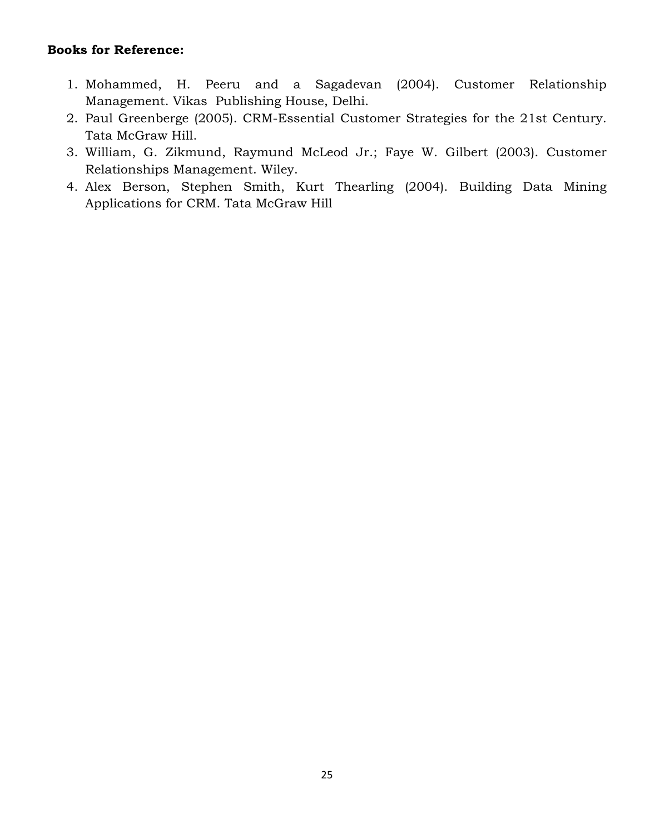## **Books for Reference:**

- 1. Mohammed, H. Peeru and a Sagadevan (2004). Customer Relationship Management. Vikas Publishing House, Delhi.
- 2. Paul Greenberge (2005). CRM-Essential Customer Strategies for the 21st Century. Tata McGraw Hill.
- 3. William, G. Zikmund, Raymund McLeod Jr.; Faye W. Gilbert (2003). Customer Relationships Management. Wiley.
- 4. Alex Berson, Stephen Smith, Kurt Thearling (2004). Building Data Mining Applications for CRM. Tata McGraw Hill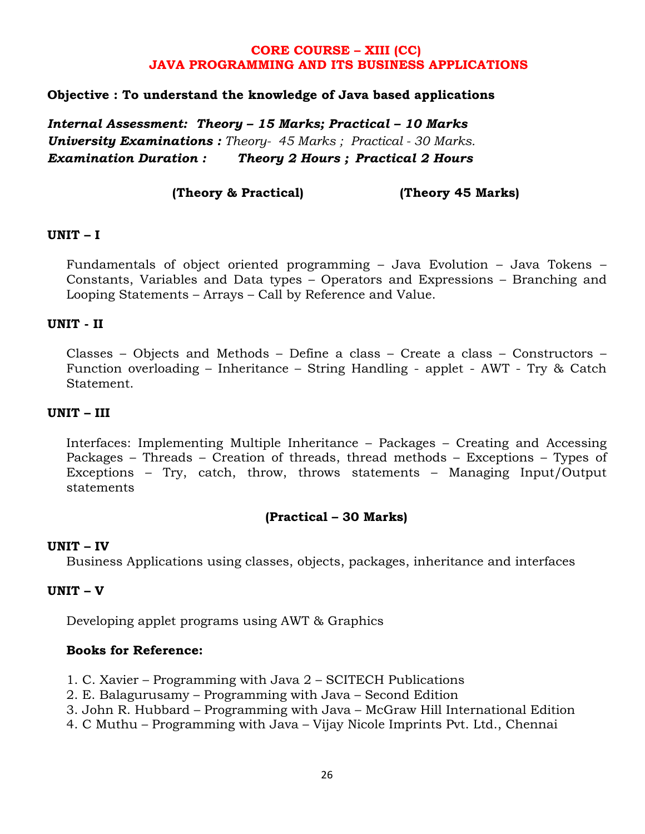### **CORE COURSE – XIII (CC) JAVA PROGRAMMING AND ITS BUSINESS APPLICATIONS**

### **Objective : To understand the knowledge of Java based applications**

*Internal Assessment: Theory – 15 Marks; Practical – 10 Marks University Examinations : Theory- 45 Marks ; Practical - 30 Marks. Examination Duration : Theory 2 Hours ; Practical 2 Hours*

**(Theory & Practical) (Theory 45 Marks)**

### **UNIT – I**

Fundamentals of object oriented programming – Java Evolution – Java Tokens – Constants, Variables and Data types – Operators and Expressions – Branching and Looping Statements – Arrays – Call by Reference and Value.

### **UNIT - II**

Classes – Objects and Methods – Define a class – Create a class – Constructors – Function overloading – Inheritance – String Handling - applet - AWT - Try & Catch Statement.

#### **UNIT – III**

Interfaces: Implementing Multiple Inheritance – Packages – Creating and Accessing Packages – Threads – Creation of threads, thread methods – Exceptions – Types of Exceptions – Try, catch, throw, throws statements – Managing Input/Output statements

### **(Practical – 30 Marks)**

#### **UNIT – IV**

Business Applications using classes, objects, packages, inheritance and interfaces

### **UNIT – V**

Developing applet programs using AWT & Graphics

#### **Books for Reference:**

- 1. C. Xavier Programming with Java 2 SCITECH Publications
- 2. E. Balagurusamy Programming with Java Second Edition
- 3. John R. Hubbard Programming with Java McGraw Hill International Edition
- 4. C Muthu Programming with Java Vijay Nicole Imprints Pvt. Ltd., Chennai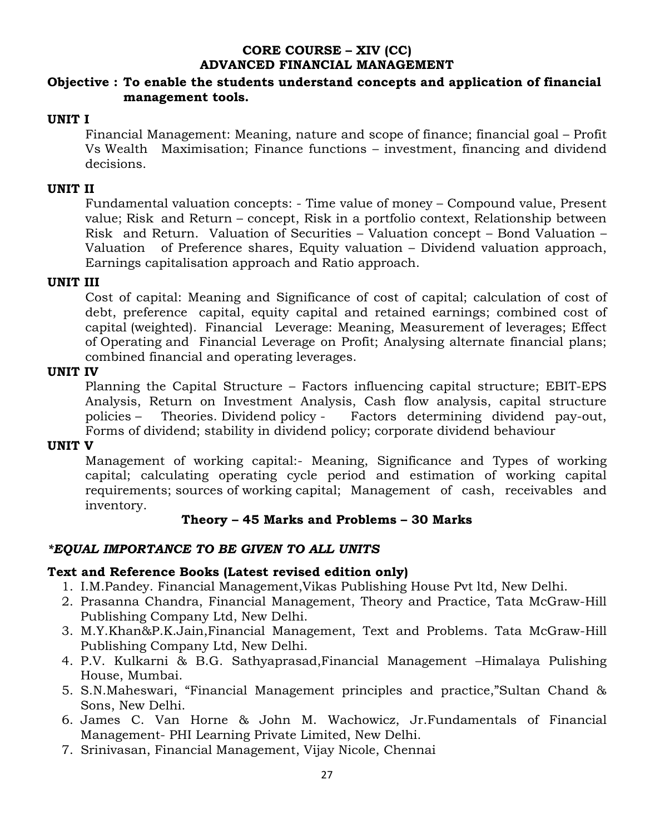# **CORE COURSE – XIV (CC) ADVANCED FINANCIAL MANAGEMENT**

### **Objective : To enable the students understand concepts and application of financial management tools.**

## **UNIT I**

 Financial Management: Meaning, nature and scope of finance; financial goal – Profit Vs Wealth Maximisation; Finance functions – investment, financing and dividend decisions.

## **UNIT II**

 Fundamental valuation concepts: - Time value of money – Compound value, Present value; Risk and Return – concept, Risk in a portfolio context, Relationship between Risk and Return. Valuation of Securities – Valuation concept – Bond Valuation – Valuation of Preference shares, Equity valuation – Dividend valuation approach, Earnings capitalisation approach and Ratio approach.

## **UNIT III**

 Cost of capital: Meaning and Significance of cost of capital; calculation of cost of debt, preference capital, equity capital and retained earnings; combined cost of capital (weighted). Financial Leverage: Meaning, Measurement of leverages; Effect of Operating and Financial Leverage on Profit; Analysing alternate financial plans; combined financial and operating leverages.

### **UNIT IV**

 Planning the Capital Structure – Factors influencing capital structure; EBIT-EPS Analysis, Return on Investment Analysis, Cash flow analysis, capital structure policies – Theories. Dividend policy - Factors determining dividend pay-out, Forms of dividend; stability in dividend policy; corporate dividend behaviour

### **UNIT V**

 Management of working capital:- Meaning, Significance and Types of working capital; calculating operating cycle period and estimation of working capital requirements; sources of working capital; Management of cash, receivables and inventory.

## **Theory – 45 Marks and Problems – 30 Marks**

## *\*EQUAL IMPORTANCE TO BE GIVEN TO ALL UNITS*

- 1. I.M.Pandey. Financial Management,Vikas Publishing House Pvt ltd, New Delhi.
- 2. Prasanna Chandra, Financial Management, Theory and Practice, Tata McGraw-Hill Publishing Company Ltd, New Delhi.
- 3. M.Y.Khan&P.K.Jain,Financial Management, Text and Problems. Tata McGraw-Hill Publishing Company Ltd, New Delhi.
- 4. P.V. Kulkarni & B.G. Sathyaprasad,Financial Management –Himalaya Pulishing House, Mumbai.
- 5. S.N.Maheswari, "Financial Management principles and practice,"Sultan Chand & Sons, New Delhi.
- 6. James C. Van Horne & John M. Wachowicz, Jr.Fundamentals of Financial Management- PHI Learning Private Limited, New Delhi.
- 7. Srinivasan, Financial Management, Vijay Nicole, Chennai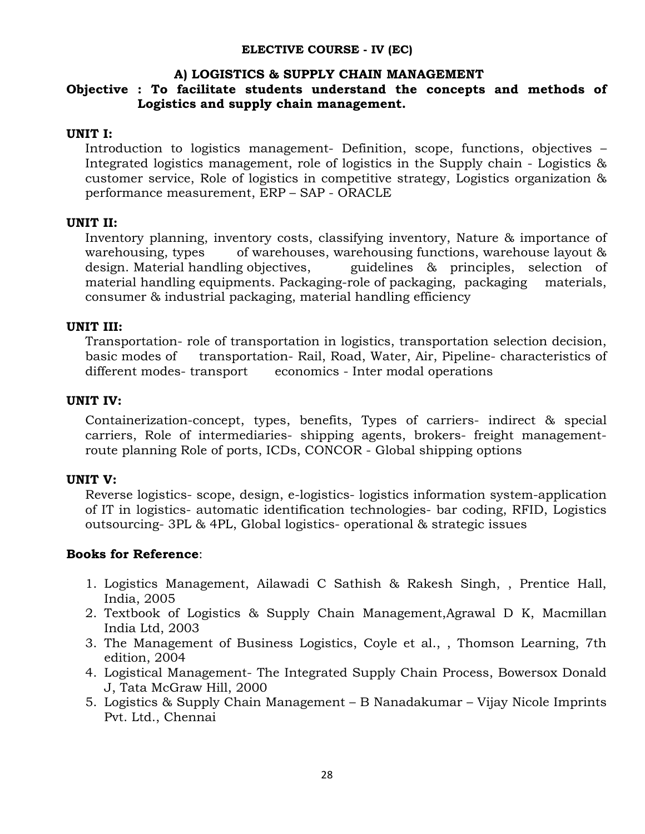#### **ELECTIVE COURSE - IV (EC)**

#### **A) LOGISTICS & SUPPLY CHAIN MANAGEMENT**

## **Objective : To facilitate students understand the concepts and methods of Logistics and supply chain management.**

### **UNIT I:**

 Introduction to logistics management- Definition, scope, functions, objectives – Integrated logistics management, role of logistics in the Supply chain - Logistics & customer service, Role of logistics in competitive strategy, Logistics organization & performance measurement, ERP – SAP - ORACLE

### **UNIT II:**

 Inventory planning, inventory costs, classifying inventory, Nature & importance of warehousing, types of warehouses, warehousing functions, warehouse layout & design. Material handling objectives, guidelines & principles, selection of material handling equipments. Packaging-role of packaging, packaging materials, consumer & industrial packaging, material handling efficiency

### **UNIT III:**

 Transportation- role of transportation in logistics, transportation selection decision, basic modes of transportation- Rail, Road, Water, Air, Pipeline- characteristics of different modes-transport economics - Inter modal operations

### **UNIT IV:**

 Containerization-concept, types, benefits, Types of carriers- indirect & special carriers, Role of intermediaries- shipping agents, brokers- freight managementroute planning Role of ports, ICDs, CONCOR - Global shipping options

### **UNIT V:**

 Reverse logistics- scope, design, e-logistics- logistics information system-application of IT in logistics- automatic identification technologies- bar coding, RFID, Logistics outsourcing- 3PL & 4PL, Global logistics- operational & strategic issues

### **Books for Reference**:

- 1. Logistics Management, Ailawadi C Sathish & Rakesh Singh, , Prentice Hall, India, 2005
- 2. Textbook of Logistics & Supply Chain Management,Agrawal D K, Macmillan India Ltd, 2003
- 3. The Management of Business Logistics, Coyle et al., , Thomson Learning, 7th edition, 2004
- 4. Logistical Management- The Integrated Supply Chain Process, Bowersox Donald J, Tata McGraw Hill, 2000
- 5. Logistics & Supply Chain Management B Nanadakumar Vijay Nicole Imprints Pvt. Ltd., Chennai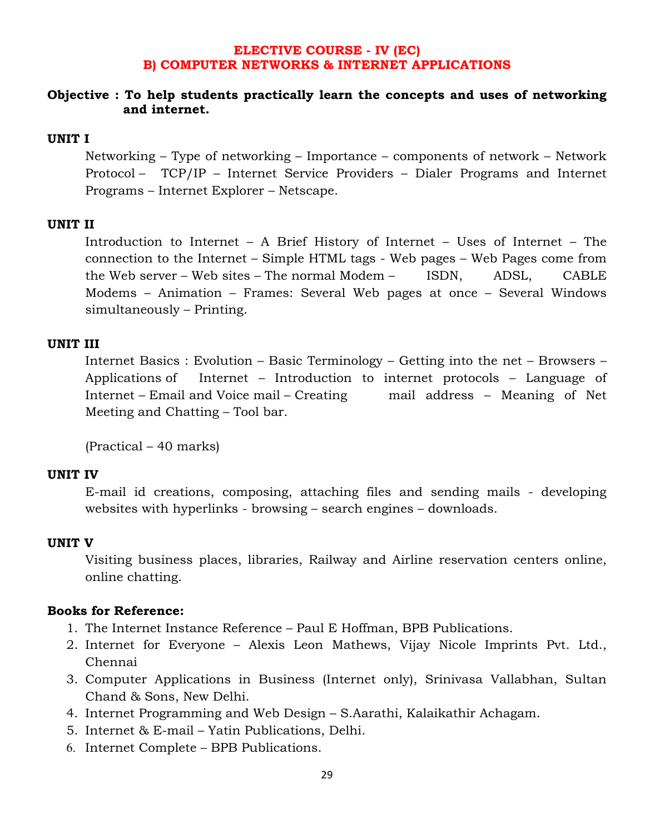### **ELECTIVE COURSE - IV (EC) B) COMPUTER NETWORKS & INTERNET APPLICATIONS**

### **Objective : To help students practically learn the concepts and uses of networking and internet.**

### **UNIT I**

 Networking – Type of networking – Importance – components of network – Network Protocol – TCP/IP – Internet Service Providers – Dialer Programs and Internet Programs – Internet Explorer – Netscape.

### **UNIT II**

 Introduction to Internet – A Brief History of Internet – Uses of Internet – The connection to the Internet – Simple HTML tags - Web pages – Web Pages come from the Web server – Web sites – The normal Modem – ISDN, ADSL, CABLE Modems – Animation – Frames: Several Web pages at once – Several Windows simultaneously – Printing.

# **UNIT III**

 Internet Basics : Evolution – Basic Terminology – Getting into the net – Browsers – Applications of Internet – Introduction to internet protocols – Language of Internet – Email and Voice mail – Creating mail address – Meaning of Net Meeting and Chatting – Tool bar.

(Practical – 40 marks)

#### **UNIT IV**

 E-mail id creations, composing, attaching files and sending mails - developing websites with hyperlinks - browsing – search engines – downloads.

#### **UNIT V**

 Visiting business places, libraries, Railway and Airline reservation centers online, online chatting.

### **Books for Reference:**

- 1. The Internet Instance Reference Paul E Hoffman, BPB Publications.
- 2. Internet for Everyone Alexis Leon Mathews, Vijay Nicole Imprints Pvt. Ltd., Chennai
- 3. Computer Applications in Business (Internet only), Srinivasa Vallabhan, Sultan Chand & Sons, New Delhi.
- 4. Internet Programming and Web Design S.Aarathi, Kalaikathir Achagam.
- 5. Internet & E-mail Yatin Publications, Delhi.
- 6. Internet Complete BPB Publications.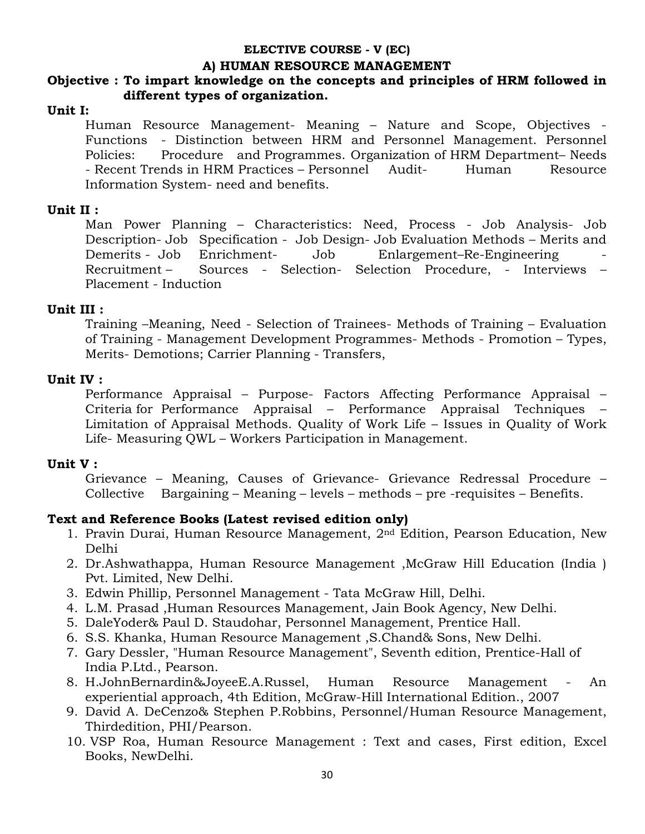### **ELECTIVE COURSE - V (EC)**

### **A) HUMAN RESOURCE MANAGEMENT**

## **Objective : To impart knowledge on the concepts and principles of HRM followed in different types of organization.**

### **Unit I:**

 Human Resource Management- Meaning – Nature and Scope, Objectives - Functions - Distinction between HRM and Personnel Management. Personnel Policies: Procedure and Programmes. Organization of HRM Department– Needs - Recent Trends in HRM Practices – Personnel Audit- Human Resource Information System- need and benefits.

### **Unit II :**

 Man Power Planning – Characteristics: Need, Process - Job Analysis- Job Description- Job Specification - Job Design- Job Evaluation Methods – Merits and Demerits - Job Enrichment- Job Enlargement–Re-Engineering Recruitment – Sources - Selection- Selection Procedure, - Interviews – Placement - Induction

### **Unit III :**

 Training –Meaning, Need - Selection of Trainees- Methods of Training – Evaluation of Training - Management Development Programmes- Methods - Promotion – Types, Merits- Demotions; Carrier Planning - Transfers,

### **Unit IV :**

 Performance Appraisal – Purpose- Factors Affecting Performance Appraisal – Criteria for Performance Appraisal – Performance Appraisal Techniques – Limitation of Appraisal Methods. Quality of Work Life – Issues in Quality of Work Life- Measuring QWL – Workers Participation in Management.

### **Unit V :**

 Grievance – Meaning, Causes of Grievance- Grievance Redressal Procedure – Collective Bargaining – Meaning – levels – methods – pre -requisites – Benefits.

- 1. Pravin Durai, Human Resource Management, 2nd Edition, Pearson Education, New Delhi
- 2. Dr.Ashwathappa, Human Resource Management ,McGraw Hill Education (India ) Pvt. Limited, New Delhi.
- 3. Edwin Phillip, Personnel Management Tata McGraw Hill, Delhi.
- 4. L.M. Prasad ,Human Resources Management, Jain Book Agency, New Delhi.
- 5. DaleYoder& Paul D. Staudohar, Personnel Management, Prentice Hall.
- 6. S.S. Khanka, Human Resource Management ,S.Chand& Sons, New Delhi.
- 7. Gary Dessler, "Human Resource Management", Seventh edition, Prentice-Hall of India P.Ltd., Pearson.
- 8. H.JohnBernardin&JoyeeE.A.Russel, Human Resource Management An experiential approach, 4th Edition, McGraw-Hill International Edition., 2007
- 9. David A. DeCenzo& Stephen P.Robbins, Personnel/Human Resource Management, Thirdedition, PHI/Pearson.
- 10. VSP Roa, Human Resource Management : Text and cases, First edition, Excel Books, NewDelhi.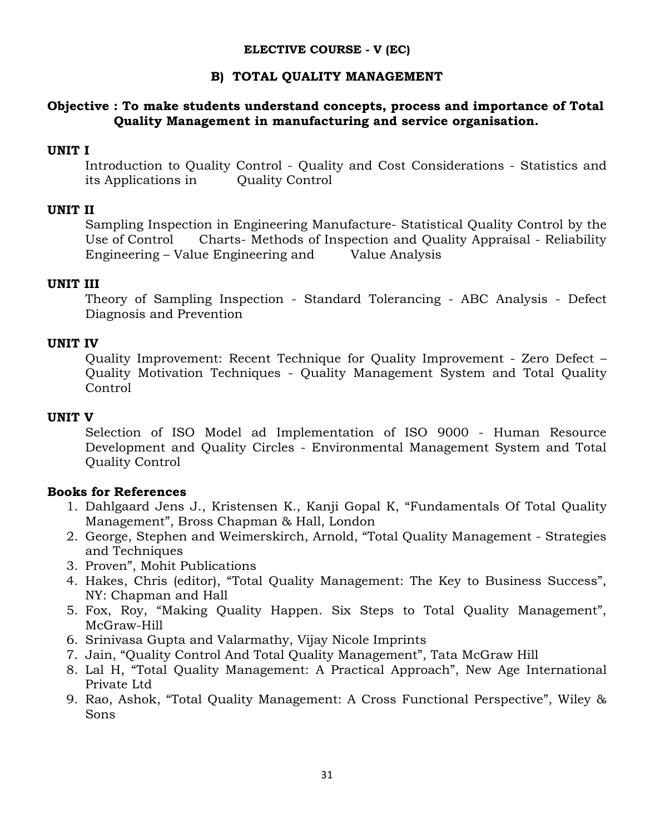### **ELECTIVE COURSE - V (EC)**

## **B) TOTAL QUALITY MANAGEMENT**

## **Objective : To make students understand concepts, process and importance of Total Quality Management in manufacturing and service organisation.**

## **UNIT I**

 Introduction to Quality Control - Quality and Cost Considerations - Statistics and its Applications in Quality Control

## **UNIT II**

 Sampling Inspection in Engineering Manufacture- Statistical Quality Control by the Use of Control Charts- Methods of Inspection and Quality Appraisal - Reliability Engineering – Value Engineering and Value Analysis

## **UNIT III**

 Theory of Sampling Inspection - Standard Tolerancing - ABC Analysis - Defect Diagnosis and Prevention

### **UNIT IV**

 Quality Improvement: Recent Technique for Quality Improvement - Zero Defect – Quality Motivation Techniques - Quality Management System and Total Quality Control

### **UNIT V**

 Selection of ISO Model ad Implementation of ISO 9000 - Human Resource Development and Quality Circles - Environmental Management System and Total Quality Control

## **Books for References**

- 1. Dahlgaard Jens J., Kristensen K., Kanji Gopal K, "Fundamentals Of Total Quality Management", Bross Chapman & Hall, London
- 2. George, Stephen and Weimerskirch, Arnold, "Total Quality Management Strategies and Techniques
- 3. Proven", Mohit Publications
- 4. Hakes, Chris (editor), "Total Quality Management: The Key to Business Success", NY: Chapman and Hall
- 5. Fox, Roy, "Making Quality Happen. Six Steps to Total Quality Management", McGraw-Hill
- 6. Srinivasa Gupta and Valarmathy, Vijay Nicole Imprints
- 7. Jain, "Quality Control And Total Quality Management", Tata McGraw Hill
- 8. Lal H, "Total Quality Management: A Practical Approach", New Age International Private Ltd
- 9. Rao, Ashok, "Total Quality Management: A Cross Functional Perspective", Wiley & Sons